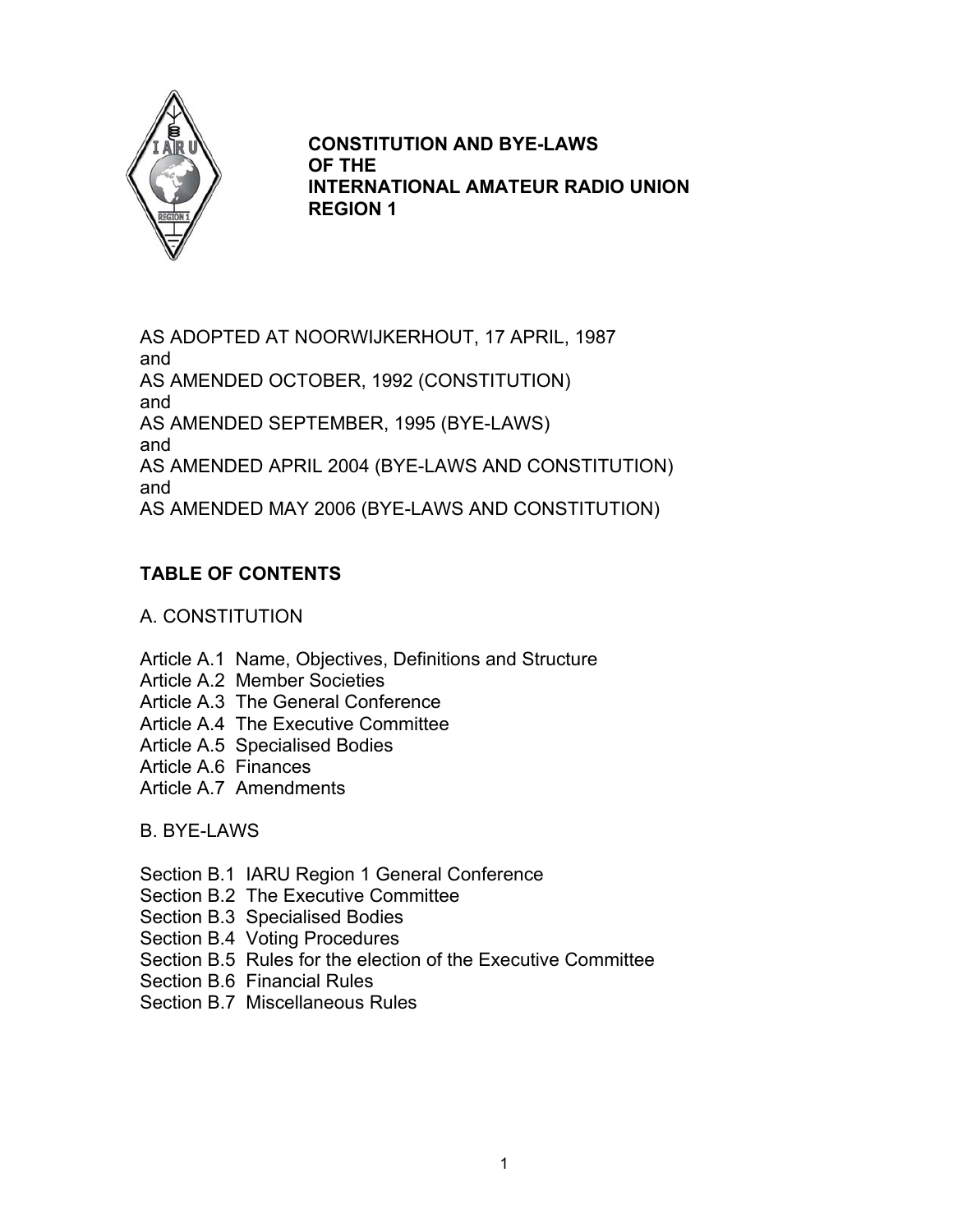

## **CONSTITUTION AND BYE-LAWS OF THE INTERNATIONAL AMATEUR RADIO UNION REGION 1**

AS ADOPTED AT NOORWIJKERHOUT, 17 APRIL, 1987 and AS AMENDED OCTOBER, 1992 (CONSTITUTION) and AS AMENDED SEPTEMBER, 1995 (BYE-LAWS) and AS AMENDED APRIL 2004 (BYE-LAWS AND CONSTITUTION) and AS AMENDED MAY 2006 (BYE-LAWS AND CONSTITUTION)

# **TABLE OF CONTENTS**

## A. CONSTITUTION

- Article A.1 Name, Objectives, Definitions and Structure
- Article A.2 Member Societies
- Article A.3 The General Conference
- Article A.4 The Executive Committee
- Article A.5 Specialised Bodies
- Article A.6 Finances
- Article A.7 Amendments

## B. BYE-LAWS

- Section B.1 IARU Region 1 General Conference
- Section B.2 The Executive Committee
- Section B.3 Specialised Bodies
- Section B.4 Voting Procedures
- Section B.5 Rules for the election of the Executive Committee
- Section B.6 Financial Rules
- Section B.7 Miscellaneous Rules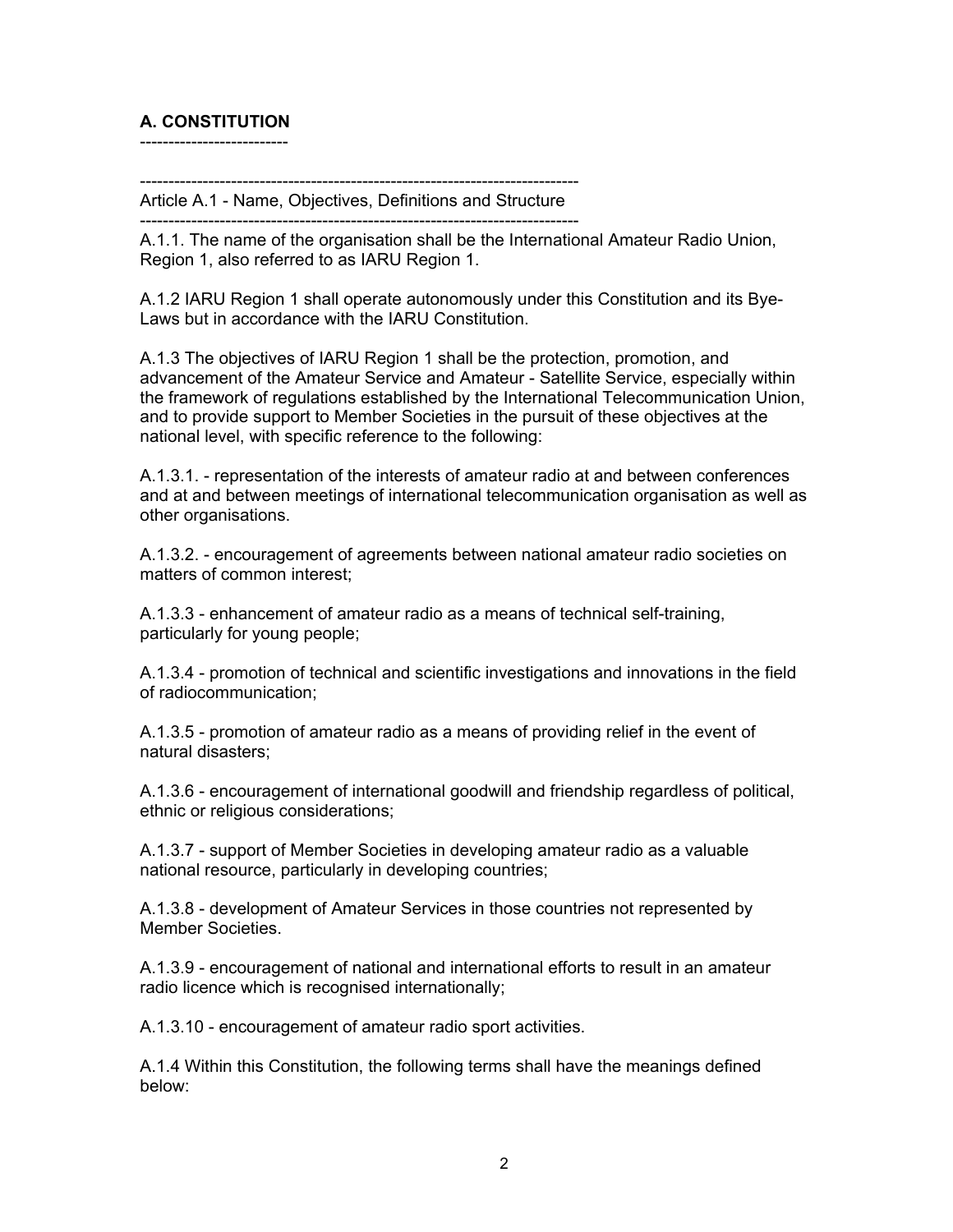## **A. CONSTITUTION**

--------------------------

----------------------------------------------------------------------------- Article A.1 - Name, Objectives, Definitions and Structure

-----------------------------------------------------------------------------

A.1.1. The name of the organisation shall be the International Amateur Radio Union, Region 1, also referred to as IARU Region 1.

A.1.2 IARU Region 1 shall operate autonomously under this Constitution and its Bye-Laws but in accordance with the IARU Constitution.

A.1.3 The objectives of IARU Region 1 shall be the protection, promotion, and advancement of the Amateur Service and Amateur - Satellite Service, especially within the framework of regulations established by the International Telecommunication Union, and to provide support to Member Societies in the pursuit of these objectives at the national level, with specific reference to the following:

A.1.3.1. - representation of the interests of amateur radio at and between conferences and at and between meetings of international telecommunication organisation as well as other organisations.

A.1.3.2. - encouragement of agreements between national amateur radio societies on matters of common interest;

A.1.3.3 - enhancement of amateur radio as a means of technical self-training, particularly for young people;

A.1.3.4 - promotion of technical and scientific investigations and innovations in the field of radiocommunication;

A.1.3.5 - promotion of amateur radio as a means of providing relief in the event of natural disasters;

A.1.3.6 - encouragement of international goodwill and friendship regardless of political, ethnic or religious considerations;

A.1.3.7 - support of Member Societies in developing amateur radio as a valuable national resource, particularly in developing countries;

A.1.3.8 - development of Amateur Services in those countries not represented by Member Societies.

A.1.3.9 - encouragement of national and international efforts to result in an amateur radio licence which is recognised internationally;

A.1.3.10 - encouragement of amateur radio sport activities.

A.1.4 Within this Constitution, the following terms shall have the meanings defined below: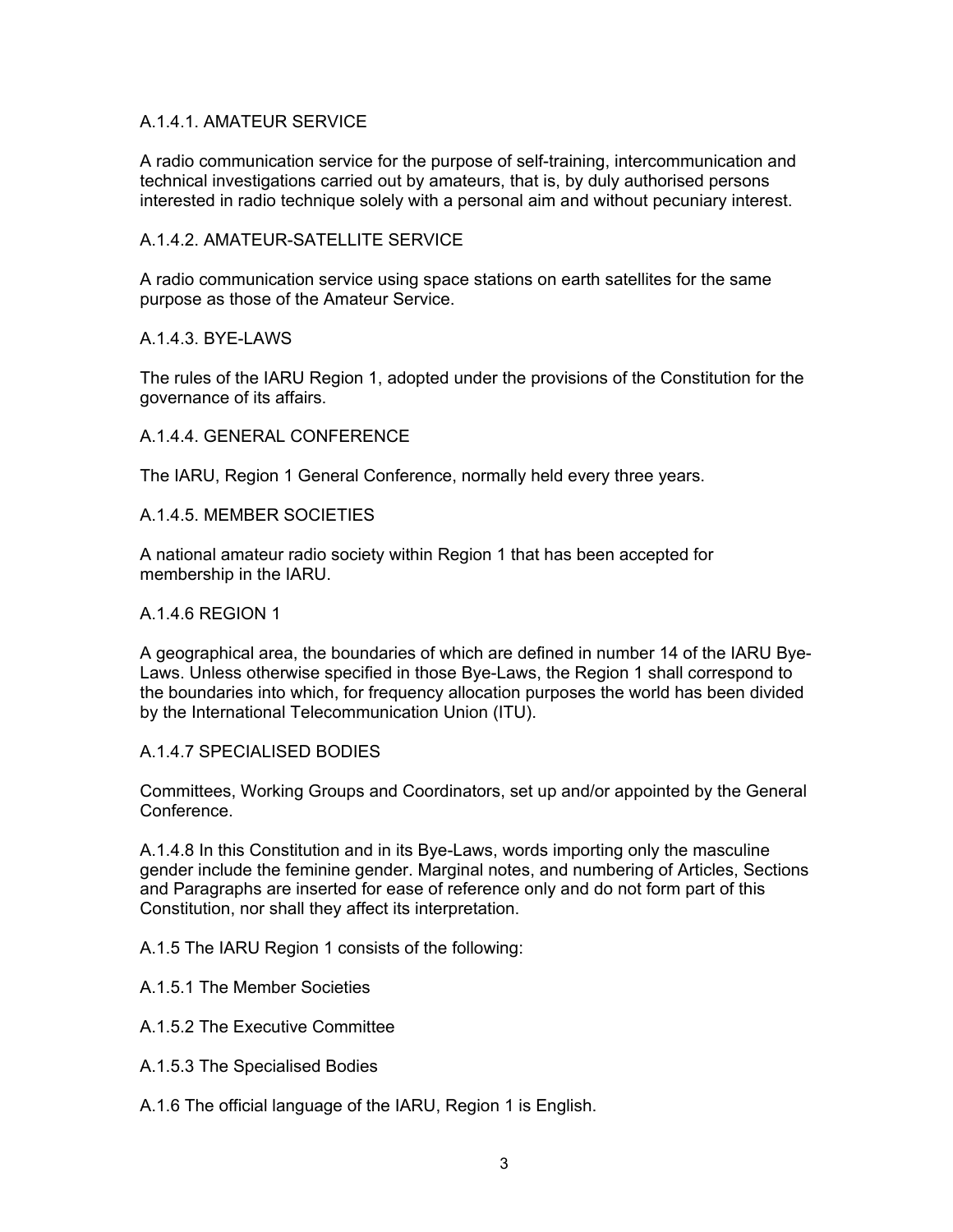### A.1.4.1. AMATEUR SERVICE

A radio communication service for the purpose of self-training, intercommunication and technical investigations carried out by amateurs, that is, by duly authorised persons interested in radio technique solely with a personal aim and without pecuniary interest.

### A.1.4.2. AMATEUR-SATELLITE SERVICE

A radio communication service using space stations on earth satellites for the same purpose as those of the Amateur Service.

### A.1.4.3. BYE-LAWS

The rules of the IARU Region 1, adopted under the provisions of the Constitution for the governance of its affairs.

### A.1.4.4. GENERAL CONFERENCE

The IARU, Region 1 General Conference, normally held every three years.

#### A.1.4.5. MEMBER SOCIETIES

A national amateur radio society within Region 1 that has been accepted for membership in the IARU.

#### A.1.4.6 REGION 1

A geographical area, the boundaries of which are defined in number 14 of the IARU Bye-Laws. Unless otherwise specified in those Bye-Laws, the Region 1 shall correspond to the boundaries into which, for frequency allocation purposes the world has been divided by the International Telecommunication Union (ITU).

#### A.1.4.7 SPECIALISED BODIES

Committees, Working Groups and Coordinators, set up and/or appointed by the General Conference.

A.1.4.8 In this Constitution and in its Bye-Laws, words importing only the masculine gender include the feminine gender. Marginal notes, and numbering of Articles, Sections and Paragraphs are inserted for ease of reference only and do not form part of this Constitution, nor shall they affect its interpretation.

A.1.5 The IARU Region 1 consists of the following:

- A.1.5.1 The Member Societies
- A.1.5.2 The Executive Committee
- A.1.5.3 The Specialised Bodies
- A.1.6 The official language of the IARU, Region 1 is English.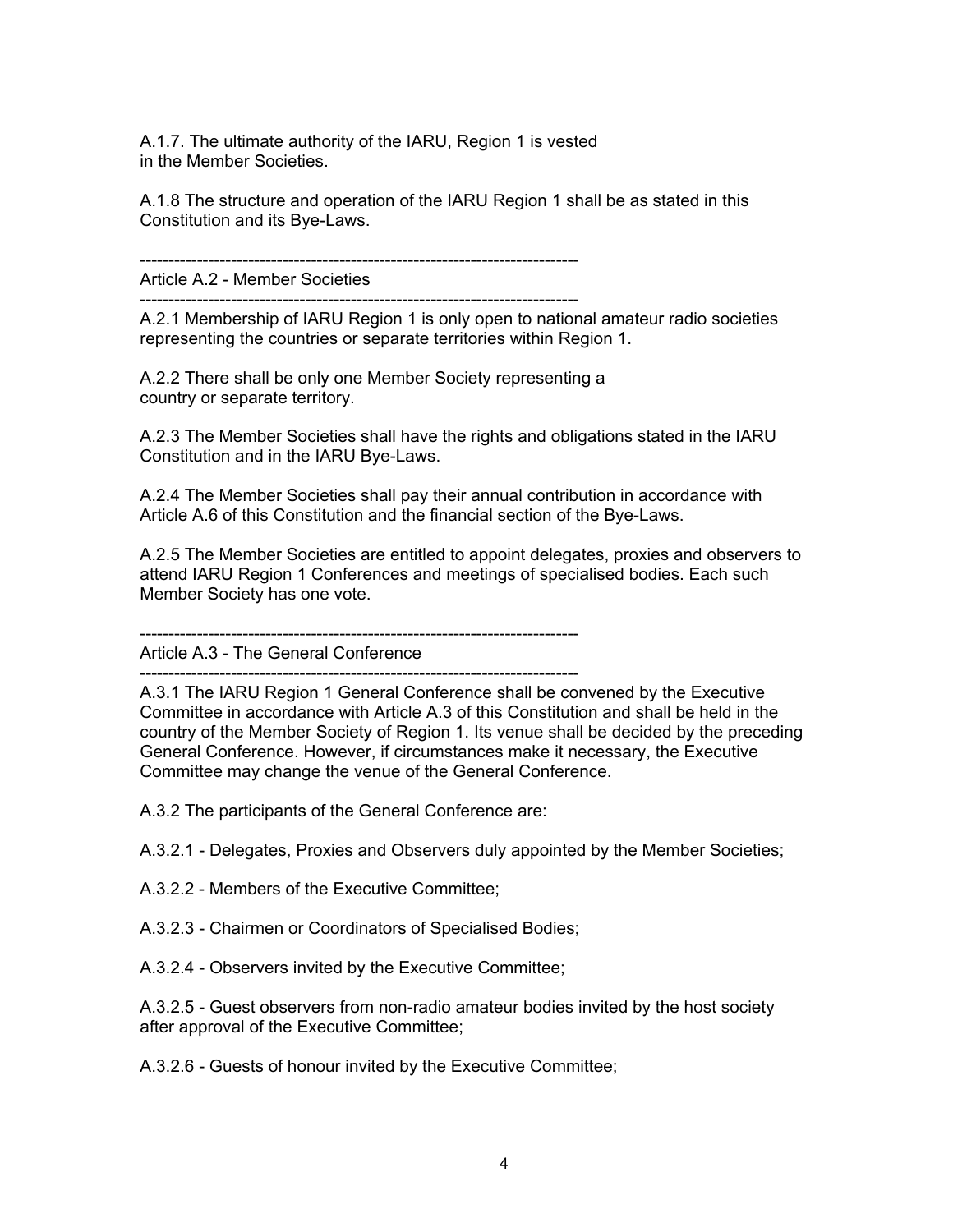A.1.7. The ultimate authority of the IARU, Region 1 is vested in the Member Societies.

A.1.8 The structure and operation of the IARU Region 1 shall be as stated in this Constitution and its Bye-Laws.

----------------------------------------------------------------------------- Article A.2 - Member Societies

-----------------------------------------------------------------------------

A.2.1 Membership of IARU Region 1 is only open to national amateur radio societies representing the countries or separate territories within Region 1.

A.2.2 There shall be only one Member Society representing a country or separate territory.

A.2.3 The Member Societies shall have the rights and obligations stated in the IARU Constitution and in the IARU Bye-Laws.

A.2.4 The Member Societies shall pay their annual contribution in accordance with Article A.6 of this Constitution and the financial section of the Bye-Laws.

A.2.5 The Member Societies are entitled to appoint delegates, proxies and observers to attend IARU Region 1 Conferences and meetings of specialised bodies. Each such Member Society has one vote.

-----------------------------------------------------------------------------

Article A.3 - The General Conference -----------------------------------------------------------------------------

A.3.1 The IARU Region 1 General Conference shall be convened by the Executive Committee in accordance with Article A.3 of this Constitution and shall be held in the country of the Member Society of Region 1. Its venue shall be decided by the preceding General Conference. However, if circumstances make it necessary, the Executive Committee may change the venue of the General Conference.

A.3.2 The participants of the General Conference are:

A.3.2.1 - Delegates, Proxies and Observers duly appointed by the Member Societies;

A.3.2.2 - Members of the Executive Committee;

A.3.2.3 - Chairmen or Coordinators of Specialised Bodies;

A.3.2.4 - Observers invited by the Executive Committee;

A.3.2.5 - Guest observers from non-radio amateur bodies invited by the host society after approval of the Executive Committee;

A.3.2.6 - Guests of honour invited by the Executive Committee;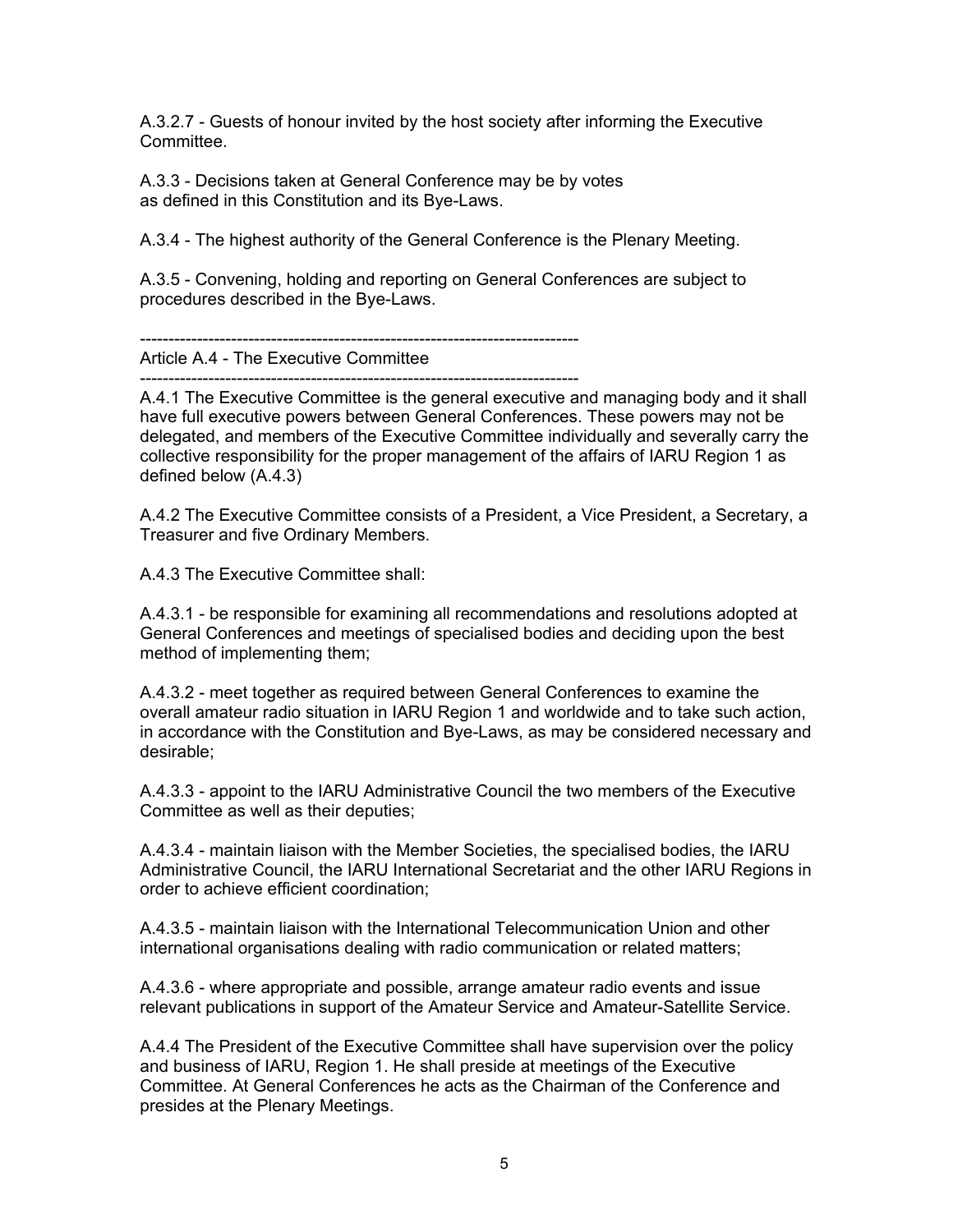A.3.2.7 - Guests of honour invited by the host society after informing the Executive **Committee** 

A.3.3 - Decisions taken at General Conference may be by votes as defined in this Constitution and its Bye-Laws.

A.3.4 - The highest authority of the General Conference is the Plenary Meeting.

A.3.5 - Convening, holding and reporting on General Conferences are subject to procedures described in the Bye-Laws.

----------------------------------------------------------------------------- Article A.4 - The Executive Committee

-----------------------------------------------------------------------------

A.4.1 The Executive Committee is the general executive and managing body and it shall have full executive powers between General Conferences. These powers may not be delegated, and members of the Executive Committee individually and severally carry the collective responsibility for the proper management of the affairs of IARU Region 1 as defined below (A.4.3)

A.4.2 The Executive Committee consists of a President, a Vice President, a Secretary, a Treasurer and five Ordinary Members.

A.4.3 The Executive Committee shall:

A.4.3.1 - be responsible for examining all recommendations and resolutions adopted at General Conferences and meetings of specialised bodies and deciding upon the best method of implementing them;

A.4.3.2 - meet together as required between General Conferences to examine the overall amateur radio situation in IARU Region 1 and worldwide and to take such action, in accordance with the Constitution and Bye-Laws, as may be considered necessary and desirable;

A.4.3.3 - appoint to the IARU Administrative Council the two members of the Executive Committee as well as their deputies;

A.4.3.4 - maintain liaison with the Member Societies, the specialised bodies, the IARU Administrative Council, the IARU International Secretariat and the other IARU Regions in order to achieve efficient coordination;

A.4.3.5 - maintain liaison with the International Telecommunication Union and other international organisations dealing with radio communication or related matters;

A.4.3.6 - where appropriate and possible, arrange amateur radio events and issue relevant publications in support of the Amateur Service and Amateur-Satellite Service.

A.4.4 The President of the Executive Committee shall have supervision over the policy and business of IARU, Region 1. He shall preside at meetings of the Executive Committee. At General Conferences he acts as the Chairman of the Conference and presides at the Plenary Meetings.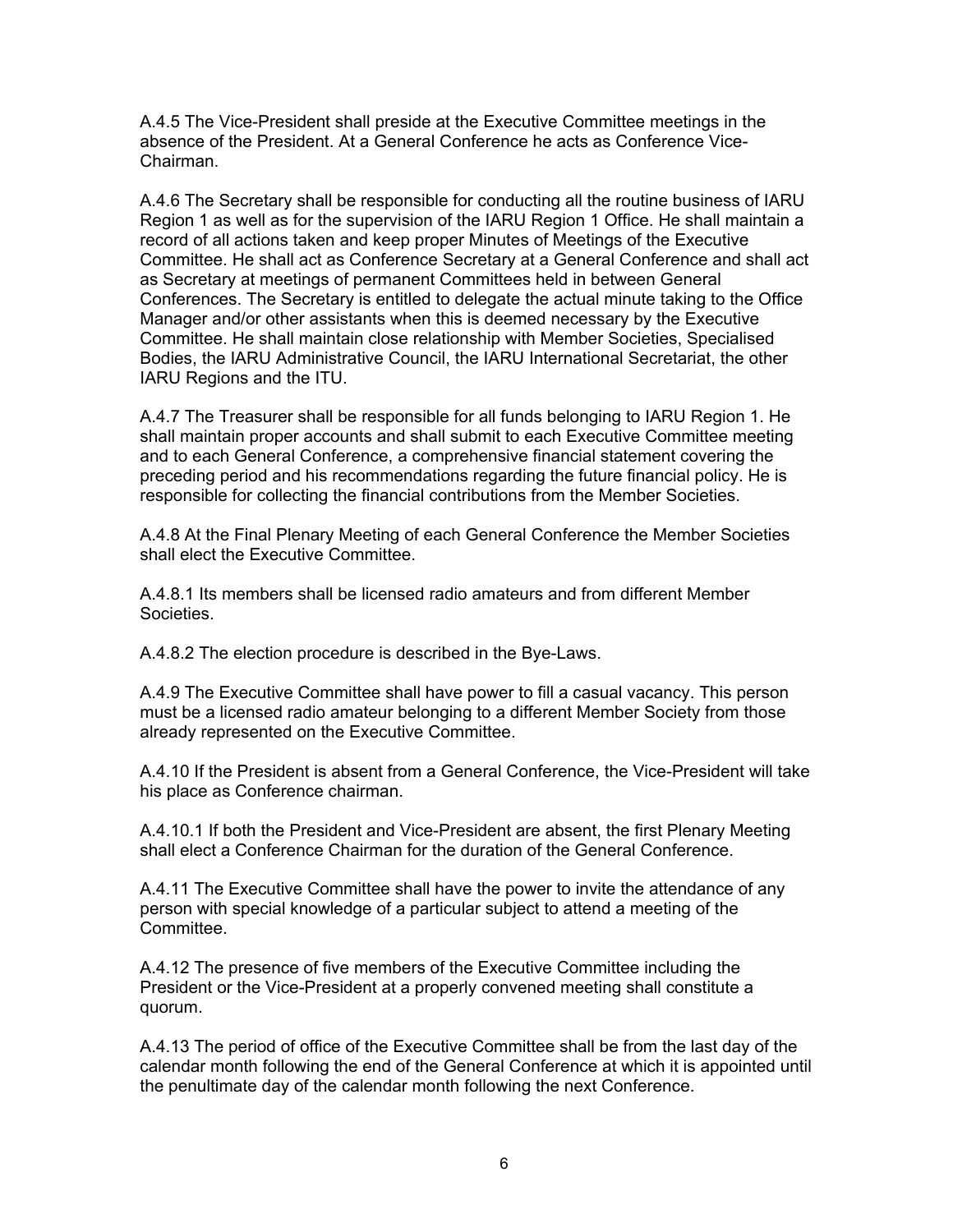A.4.5 The Vice-President shall preside at the Executive Committee meetings in the absence of the President. At a General Conference he acts as Conference Vice-Chairman.

A.4.6 The Secretary shall be responsible for conducting all the routine business of IARU Region 1 as well as for the supervision of the IARU Region 1 Office. He shall maintain a record of all actions taken and keep proper Minutes of Meetings of the Executive Committee. He shall act as Conference Secretary at a General Conference and shall act as Secretary at meetings of permanent Committees held in between General Conferences. The Secretary is entitled to delegate the actual minute taking to the Office Manager and/or other assistants when this is deemed necessary by the Executive Committee. He shall maintain close relationship with Member Societies, Specialised Bodies, the IARU Administrative Council, the IARU International Secretariat, the other IARU Regions and the ITU.

A.4.7 The Treasurer shall be responsible for all funds belonging to IARU Region 1. He shall maintain proper accounts and shall submit to each Executive Committee meeting and to each General Conference, a comprehensive financial statement covering the preceding period and his recommendations regarding the future financial policy. He is responsible for collecting the financial contributions from the Member Societies.

A.4.8 At the Final Plenary Meeting of each General Conference the Member Societies shall elect the Executive Committee.

A.4.8.1 Its members shall be licensed radio amateurs and from different Member Societies.

A.4.8.2 The election procedure is described in the Bye-Laws.

A.4.9 The Executive Committee shall have power to fill a casual vacancy. This person must be a licensed radio amateur belonging to a different Member Society from those already represented on the Executive Committee.

A.4.10 If the President is absent from a General Conference, the Vice-President will take his place as Conference chairman.

A.4.10.1 If both the President and Vice-President are absent, the first Plenary Meeting shall elect a Conference Chairman for the duration of the General Conference.

A.4.11 The Executive Committee shall have the power to invite the attendance of any person with special knowledge of a particular subject to attend a meeting of the Committee.

A.4.12 The presence of five members of the Executive Committee including the President or the Vice-President at a properly convened meeting shall constitute a quorum.

A.4.13 The period of office of the Executive Committee shall be from the last day of the calendar month following the end of the General Conference at which it is appointed until the penultimate day of the calendar month following the next Conference.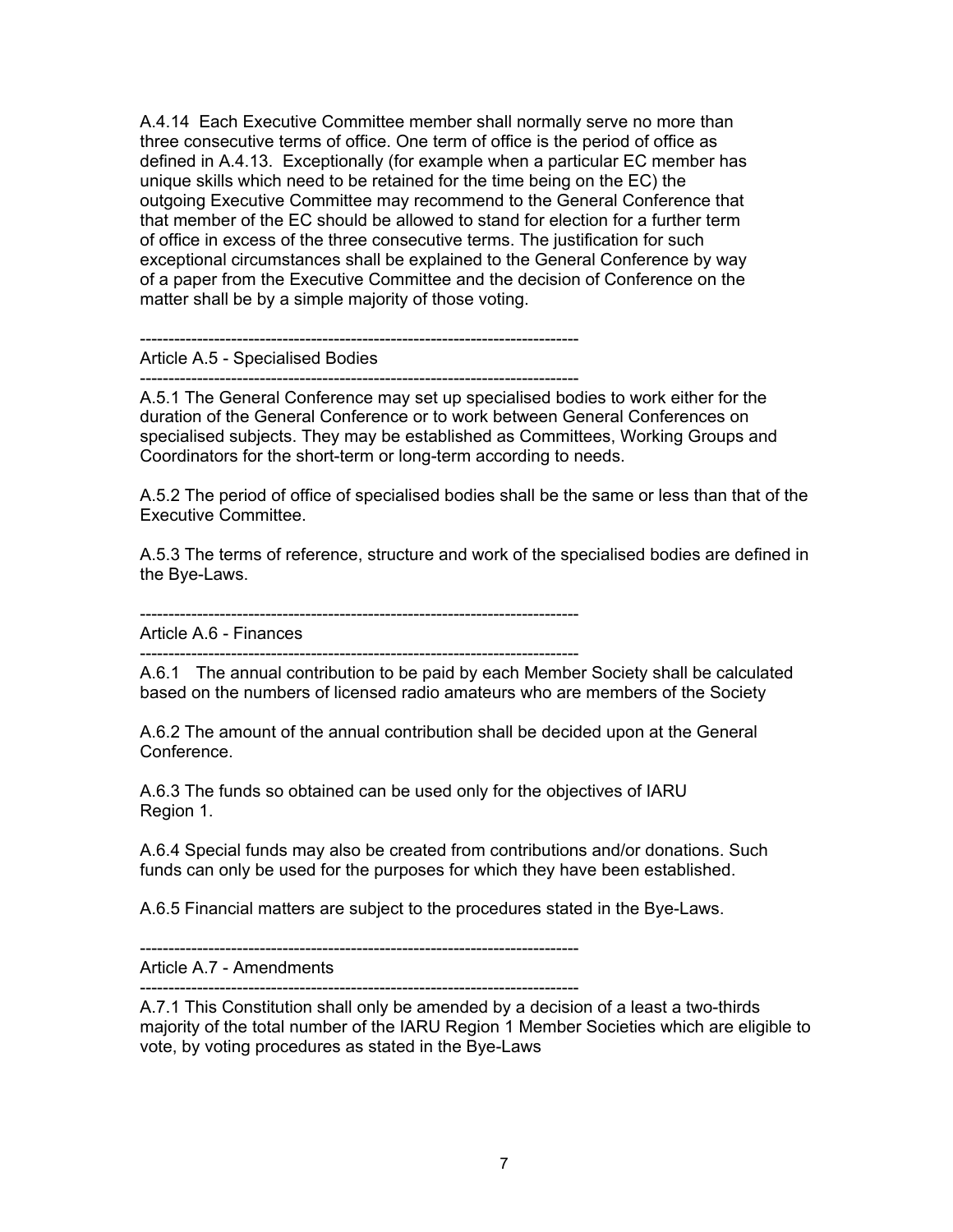A.4.14 Each Executive Committee member shall normally serve no more than three consecutive terms of office. One term of office is the period of office as defined in A.4.13. Exceptionally (for example when a particular EC member has unique skills which need to be retained for the time being on the EC) the outgoing Executive Committee may recommend to the General Conference that that member of the EC should be allowed to stand for election for a further term of office in excess of the three consecutive terms. The justification for such exceptional circumstances shall be explained to the General Conference by way of a paper from the Executive Committee and the decision of Conference on the matter shall be by a simple majority of those voting.

Article A.5 - Specialised Bodies

----------------------------------------------------------------------------- A.5.1 The General Conference may set up specialised bodies to work either for the duration of the General Conference or to work between General Conferences on specialised subjects. They may be established as Committees, Working Groups and Coordinators for the short-term or long-term according to needs.

A.5.2 The period of office of specialised bodies shall be the same or less than that of the Executive Committee.

A.5.3 The terms of reference, structure and work of the specialised bodies are defined in the Bye-Laws.

-----------------------------------------------------------------------------

-----------------------------------------------------------------------------

Article A.6 - Finances

-----------------------------------------------------------------------------

A.6.1 The annual contribution to be paid by each Member Society shall be calculated based on the numbers of licensed radio amateurs who are members of the Society

A.6.2 The amount of the annual contribution shall be decided upon at the General **Conference** 

A.6.3 The funds so obtained can be used only for the objectives of IARU Region 1.

A.6.4 Special funds may also be created from contributions and/or donations. Such funds can only be used for the purposes for which they have been established.

A.6.5 Financial matters are subject to the procedures stated in the Bye-Laws.

-----------------------------------------------------------------------------

Article A.7 - Amendments

-----------------------------------------------------------------------------

A.7.1 This Constitution shall only be amended by a decision of a least a two-thirds majority of the total number of the IARU Region 1 Member Societies which are eligible to vote, by voting procedures as stated in the Bye-Laws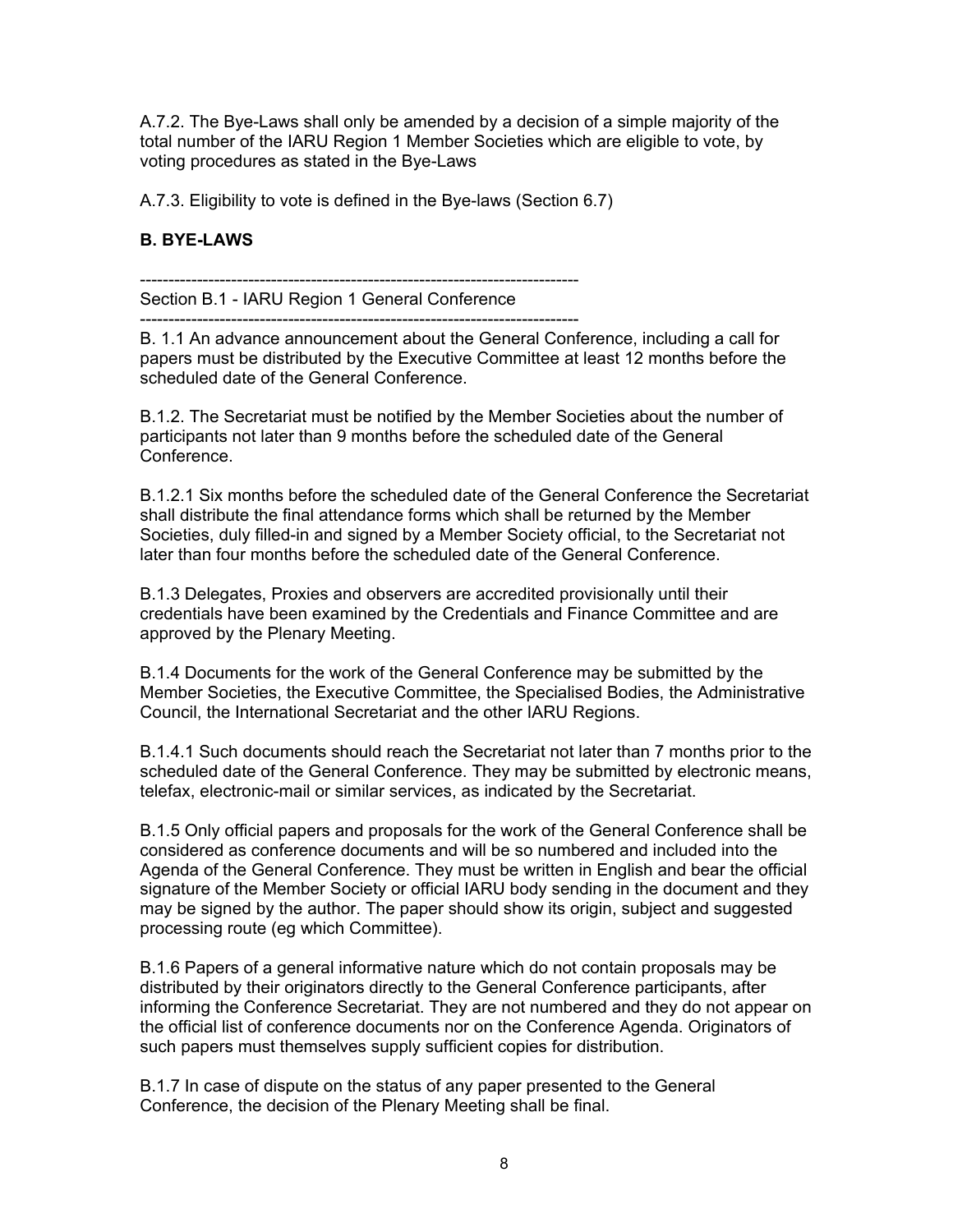A.7.2. The Bye-Laws shall only be amended by a decision of a simple majority of the total number of the IARU Region 1 Member Societies which are eligible to vote, by voting procedures as stated in the Bye-Laws

A.7.3. Eligibility to vote is defined in the Bye-laws (Section 6.7)

## **B. BYE-LAWS**

----------------------------------------------------------------------------- Section B.1 - IARU Region 1 General Conference

----------------------------------------------------------------------------- B. 1.1 An advance announcement about the General Conference, including a call for papers must be distributed by the Executive Committee at least 12 months before the scheduled date of the General Conference.

B.1.2. The Secretariat must be notified by the Member Societies about the number of participants not later than 9 months before the scheduled date of the General Conference.

B.1.2.1 Six months before the scheduled date of the General Conference the Secretariat shall distribute the final attendance forms which shall be returned by the Member Societies, duly filled-in and signed by a Member Society official, to the Secretariat not later than four months before the scheduled date of the General Conference.

B.1.3 Delegates, Proxies and observers are accredited provisionally until their credentials have been examined by the Credentials and Finance Committee and are approved by the Plenary Meeting.

B.1.4 Documents for the work of the General Conference may be submitted by the Member Societies, the Executive Committee, the Specialised Bodies, the Administrative Council, the International Secretariat and the other IARU Regions.

B.1.4.1 Such documents should reach the Secretariat not later than 7 months prior to the scheduled date of the General Conference. They may be submitted by electronic means, telefax, electronic-mail or similar services, as indicated by the Secretariat.

B.1.5 Only official papers and proposals for the work of the General Conference shall be considered as conference documents and will be so numbered and included into the Agenda of the General Conference. They must be written in English and bear the official signature of the Member Society or official IARU body sending in the document and they may be signed by the author. The paper should show its origin, subject and suggested processing route (eg which Committee).

B.1.6 Papers of a general informative nature which do not contain proposals may be distributed by their originators directly to the General Conference participants, after informing the Conference Secretariat. They are not numbered and they do not appear on the official list of conference documents nor on the Conference Agenda. Originators of such papers must themselves supply sufficient copies for distribution.

B.1.7 In case of dispute on the status of any paper presented to the General Conference, the decision of the Plenary Meeting shall be final.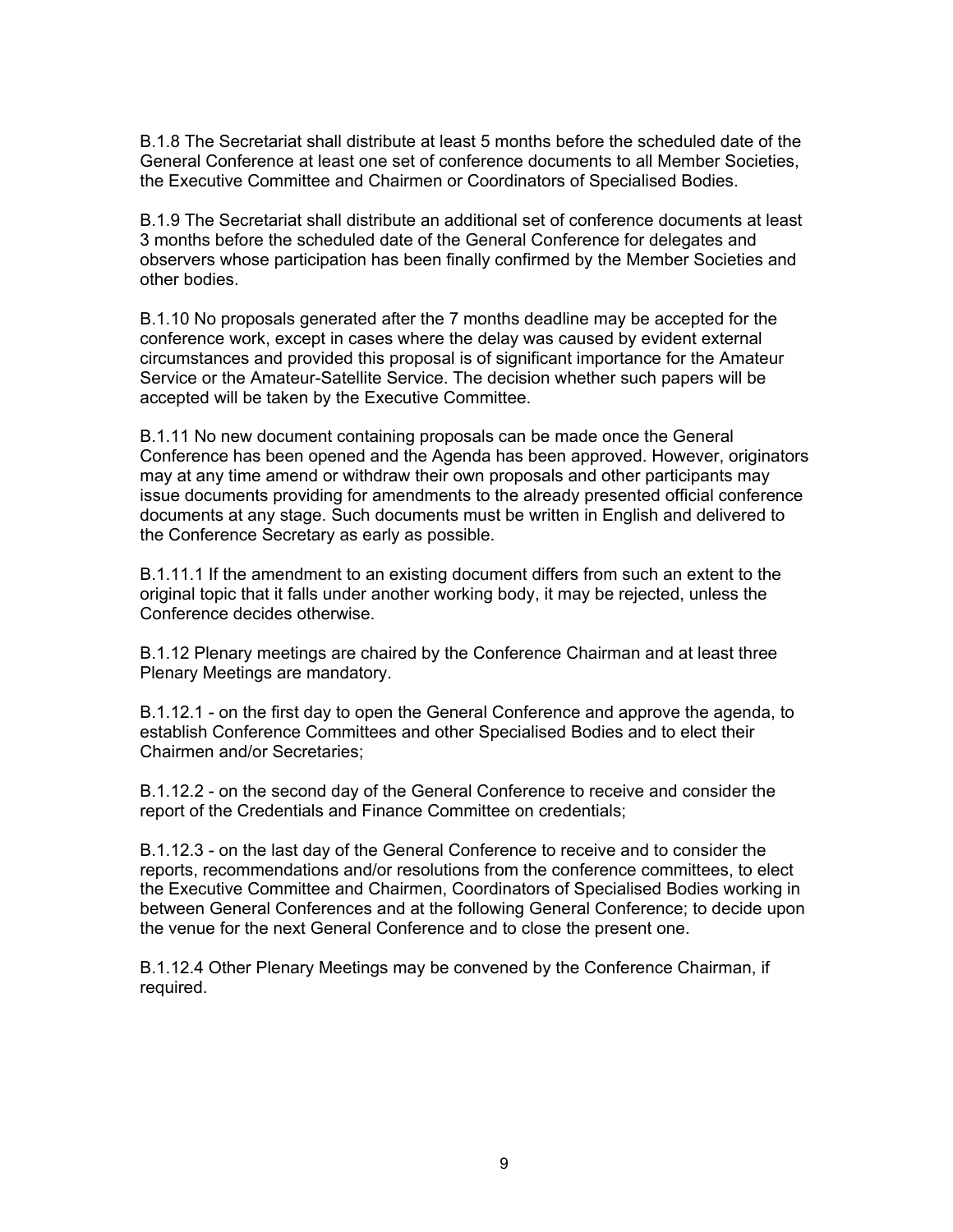B.1.8 The Secretariat shall distribute at least 5 months before the scheduled date of the General Conference at least one set of conference documents to all Member Societies, the Executive Committee and Chairmen or Coordinators of Specialised Bodies.

B.1.9 The Secretariat shall distribute an additional set of conference documents at least 3 months before the scheduled date of the General Conference for delegates and observers whose participation has been finally confirmed by the Member Societies and other bodies.

B.1.10 No proposals generated after the 7 months deadline may be accepted for the conference work, except in cases where the delay was caused by evident external circumstances and provided this proposal is of significant importance for the Amateur Service or the Amateur-Satellite Service. The decision whether such papers will be accepted will be taken by the Executive Committee.

B.1.11 No new document containing proposals can be made once the General Conference has been opened and the Agenda has been approved. However, originators may at any time amend or withdraw their own proposals and other participants may issue documents providing for amendments to the already presented official conference documents at any stage. Such documents must be written in English and delivered to the Conference Secretary as early as possible.

B.1.11.1 If the amendment to an existing document differs from such an extent to the original topic that it falls under another working body, it may be rejected, unless the Conference decides otherwise.

B.1.12 Plenary meetings are chaired by the Conference Chairman and at least three Plenary Meetings are mandatory.

B.1.12.1 - on the first day to open the General Conference and approve the agenda, to establish Conference Committees and other Specialised Bodies and to elect their Chairmen and/or Secretaries;

B.1.12.2 - on the second day of the General Conference to receive and consider the report of the Credentials and Finance Committee on credentials;

B.1.12.3 - on the last day of the General Conference to receive and to consider the reports, recommendations and/or resolutions from the conference committees, to elect the Executive Committee and Chairmen, Coordinators of Specialised Bodies working in between General Conferences and at the following General Conference; to decide upon the venue for the next General Conference and to close the present one.

B.1.12.4 Other Plenary Meetings may be convened by the Conference Chairman, if required.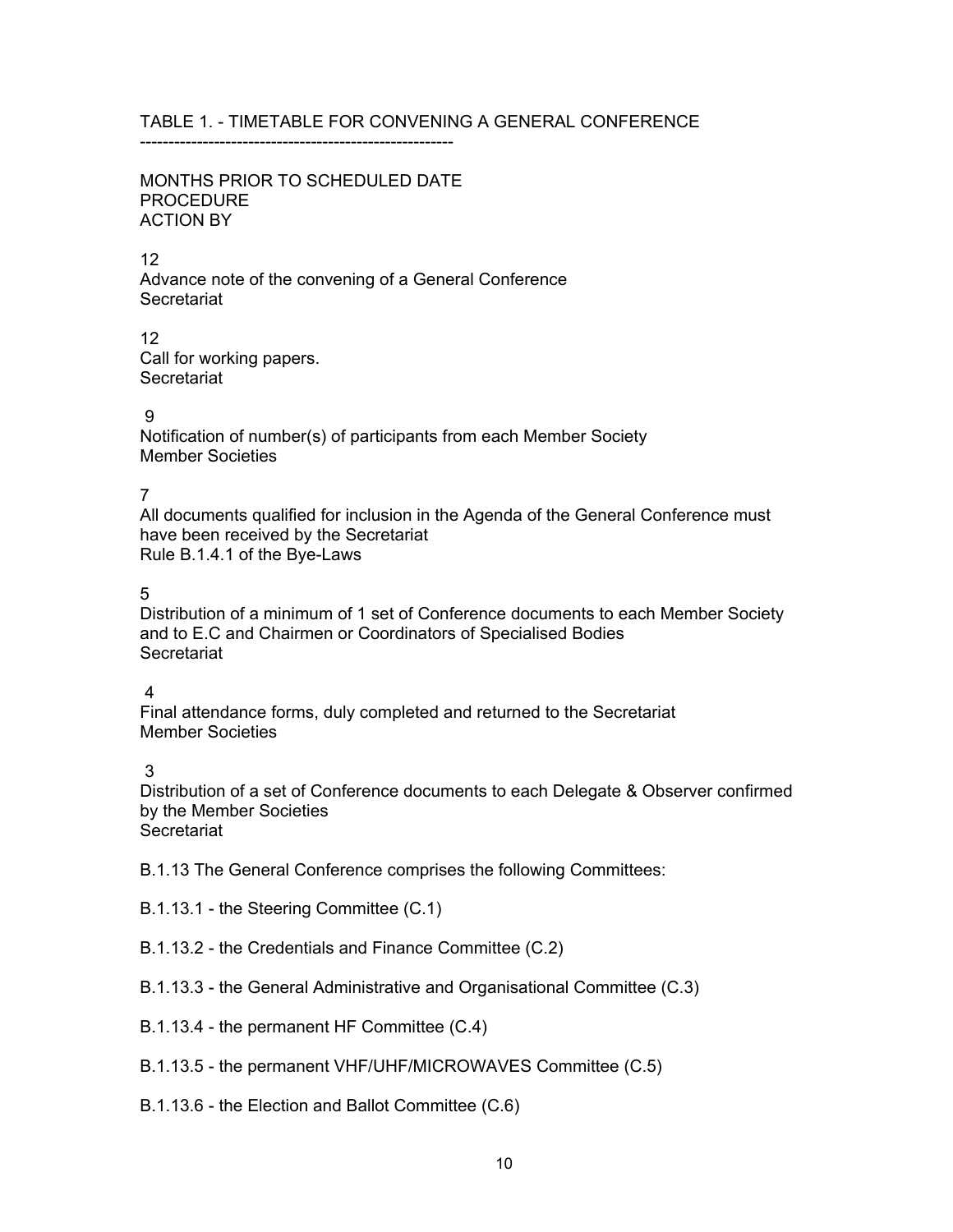## TABLE 1. - TIMETABLE FOR CONVENING A GENERAL CONFERENCE

-------------------------------------------------------

### MONTHS PRIOR TO SCHEDULED DATE PROCEDURE ACTION BY

#### 12

Advance note of the convening of a General Conference **Secretariat** 

12 Call for working papers. **Secretariat** 

### 9

Notification of number(s) of participants from each Member Society Member Societies

## 7

All documents qualified for inclusion in the Agenda of the General Conference must have been received by the Secretariat Rule B.1.4.1 of the Bye-Laws

## 5

Distribution of a minimum of 1 set of Conference documents to each Member Society and to E.C and Chairmen or Coordinators of Specialised Bodies **Secretariat** 

### 4

Final attendance forms, duly completed and returned to the Secretariat Member Societies

3

Distribution of a set of Conference documents to each Delegate & Observer confirmed by the Member Societies **Secretariat** 

B.1.13 The General Conference comprises the following Committees:

B.1.13.1 - the Steering Committee (C.1)

- B.1.13.2 the Credentials and Finance Committee (C.2)
- B.1.13.3 the General Administrative and Organisational Committee (C.3)
- B.1.13.4 the permanent HF Committee (C.4)
- B.1.13.5 the permanent VHF/UHF/MICROWAVES Committee (C.5)
- B.1.13.6 the Election and Ballot Committee (C.6)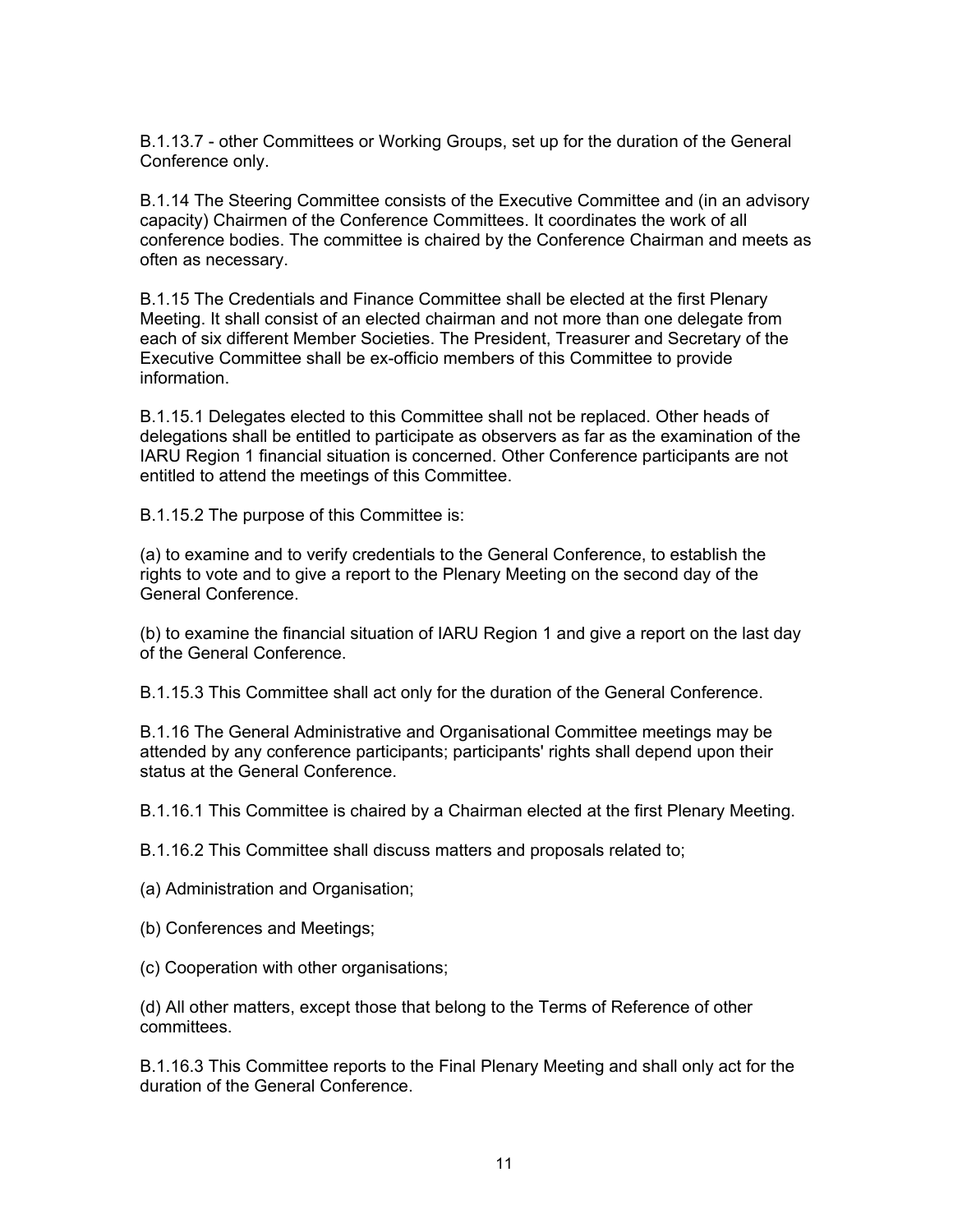B.1.13.7 - other Committees or Working Groups, set up for the duration of the General Conference only.

B.1.14 The Steering Committee consists of the Executive Committee and (in an advisory capacity) Chairmen of the Conference Committees. It coordinates the work of all conference bodies. The committee is chaired by the Conference Chairman and meets as often as necessary.

B.1.15 The Credentials and Finance Committee shall be elected at the first Plenary Meeting. It shall consist of an elected chairman and not more than one delegate from each of six different Member Societies. The President, Treasurer and Secretary of the Executive Committee shall be ex-officio members of this Committee to provide information.

B.1.15.1 Delegates elected to this Committee shall not be replaced. Other heads of delegations shall be entitled to participate as observers as far as the examination of the IARU Region 1 financial situation is concerned. Other Conference participants are not entitled to attend the meetings of this Committee.

B.1.15.2 The purpose of this Committee is:

(a) to examine and to verify credentials to the General Conference, to establish the rights to vote and to give a report to the Plenary Meeting on the second day of the General Conference.

(b) to examine the financial situation of IARU Region 1 and give a report on the last day of the General Conference.

B.1.15.3 This Committee shall act only for the duration of the General Conference.

B.1.16 The General Administrative and Organisational Committee meetings may be attended by any conference participants; participants' rights shall depend upon their status at the General Conference.

B.1.16.1 This Committee is chaired by a Chairman elected at the first Plenary Meeting.

B.1.16.2 This Committee shall discuss matters and proposals related to;

(a) Administration and Organisation;

- (b) Conferences and Meetings;
- (c) Cooperation with other organisations;

(d) All other matters, except those that belong to the Terms of Reference of other committees.

B.1.16.3 This Committee reports to the Final Plenary Meeting and shall only act for the duration of the General Conference.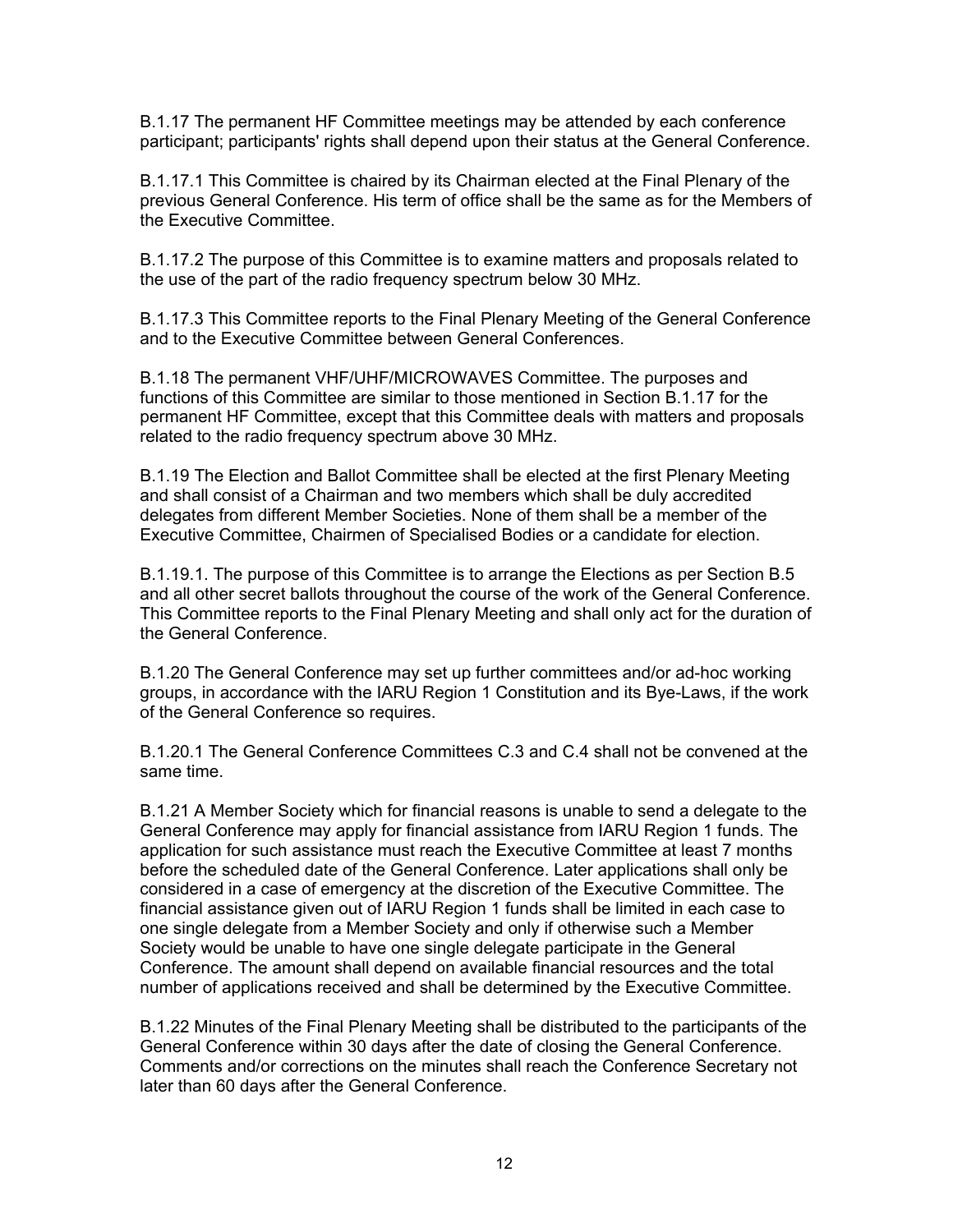B.1.17 The permanent HF Committee meetings may be attended by each conference participant; participants' rights shall depend upon their status at the General Conference.

B.1.17.1 This Committee is chaired by its Chairman elected at the Final Plenary of the previous General Conference. His term of office shall be the same as for the Members of the Executive Committee.

B.1.17.2 The purpose of this Committee is to examine matters and proposals related to the use of the part of the radio frequency spectrum below 30 MHz.

B.1.17.3 This Committee reports to the Final Plenary Meeting of the General Conference and to the Executive Committee between General Conferences.

B.1.18 The permanent VHF/UHF/MICROWAVES Committee. The purposes and functions of this Committee are similar to those mentioned in Section B.1.17 for the permanent HF Committee, except that this Committee deals with matters and proposals related to the radio frequency spectrum above 30 MHz.

B.1.19 The Election and Ballot Committee shall be elected at the first Plenary Meeting and shall consist of a Chairman and two members which shall be duly accredited delegates from different Member Societies. None of them shall be a member of the Executive Committee, Chairmen of Specialised Bodies or a candidate for election.

B.1.19.1. The purpose of this Committee is to arrange the Elections as per Section B.5 and all other secret ballots throughout the course of the work of the General Conference. This Committee reports to the Final Plenary Meeting and shall only act for the duration of the General Conference.

B.1.20 The General Conference may set up further committees and/or ad-hoc working groups, in accordance with the IARU Region 1 Constitution and its Bye-Laws, if the work of the General Conference so requires.

B.1.20.1 The General Conference Committees C.3 and C.4 shall not be convened at the same time.

B.1.21 A Member Society which for financial reasons is unable to send a delegate to the General Conference may apply for financial assistance from IARU Region 1 funds. The application for such assistance must reach the Executive Committee at least 7 months before the scheduled date of the General Conference. Later applications shall only be considered in a case of emergency at the discretion of the Executive Committee. The financial assistance given out of IARU Region 1 funds shall be limited in each case to one single delegate from a Member Society and only if otherwise such a Member Society would be unable to have one single delegate participate in the General Conference. The amount shall depend on available financial resources and the total number of applications received and shall be determined by the Executive Committee.

B.1.22 Minutes of the Final Plenary Meeting shall be distributed to the participants of the General Conference within 30 days after the date of closing the General Conference. Comments and/or corrections on the minutes shall reach the Conference Secretary not later than 60 days after the General Conference.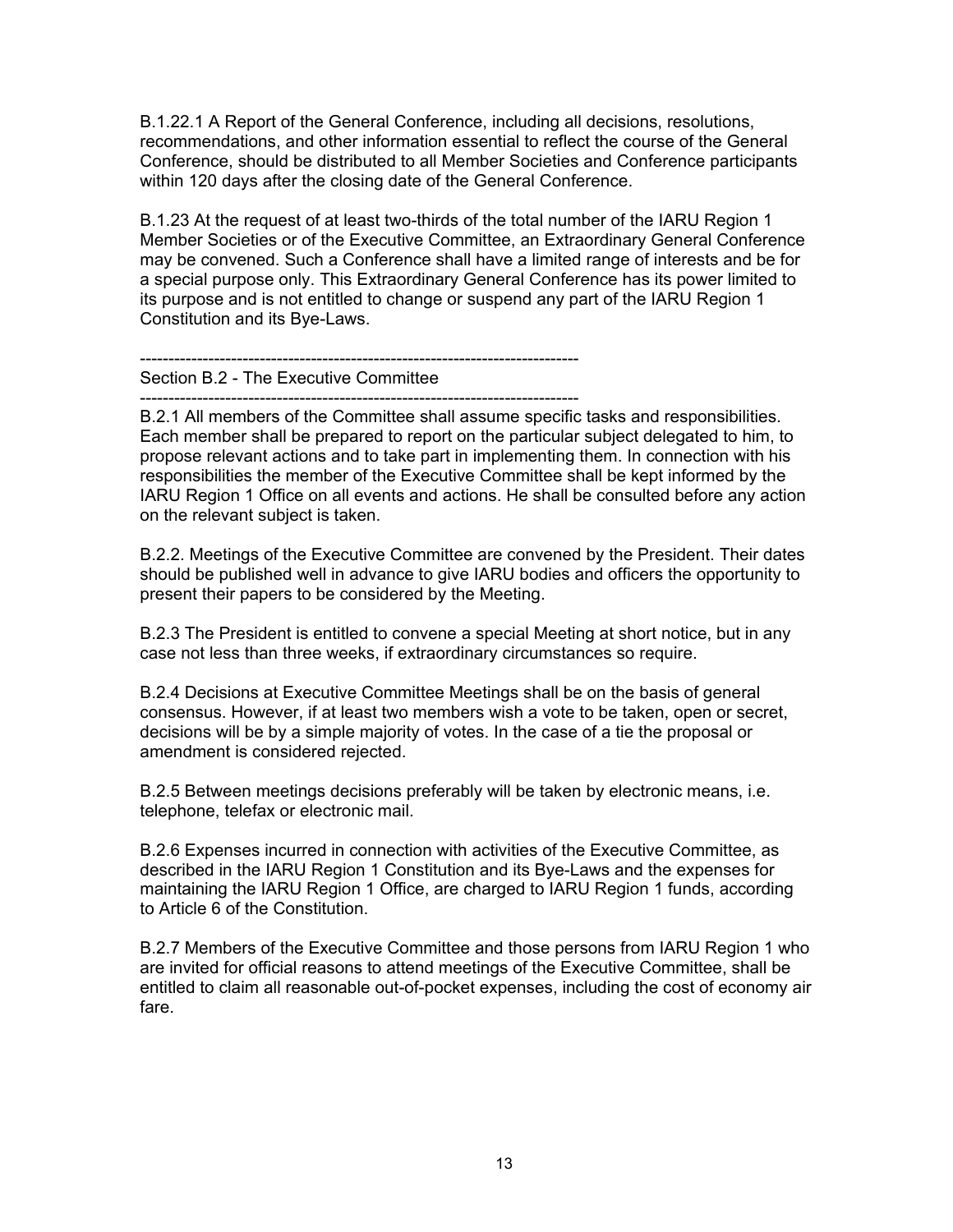B.1.22.1 A Report of the General Conference, including all decisions, resolutions, recommendations, and other information essential to reflect the course of the General Conference, should be distributed to all Member Societies and Conference participants within 120 days after the closing date of the General Conference.

B.1.23 At the request of at least two-thirds of the total number of the IARU Region 1 Member Societies or of the Executive Committee, an Extraordinary General Conference may be convened. Such a Conference shall have a limited range of interests and be for a special purpose only. This Extraordinary General Conference has its power limited to its purpose and is not entitled to change or suspend any part of the IARU Region 1 Constitution and its Bye-Laws.

----------------------------------------------------------------------------- Section B.2 - The Executive Committee

-----------------------------------------------------------------------------

B.2.1 All members of the Committee shall assume specific tasks and responsibilities. Each member shall be prepared to report on the particular subject delegated to him, to propose relevant actions and to take part in implementing them. In connection with his responsibilities the member of the Executive Committee shall be kept informed by the IARU Region 1 Office on all events and actions. He shall be consulted before any action on the relevant subject is taken.

B.2.2. Meetings of the Executive Committee are convened by the President. Their dates should be published well in advance to give IARU bodies and officers the opportunity to present their papers to be considered by the Meeting.

B.2.3 The President is entitled to convene a special Meeting at short notice, but in any case not less than three weeks, if extraordinary circumstances so require.

B.2.4 Decisions at Executive Committee Meetings shall be on the basis of general consensus. However, if at least two members wish a vote to be taken, open or secret, decisions will be by a simple majority of votes. In the case of a tie the proposal or amendment is considered rejected.

B.2.5 Between meetings decisions preferably will be taken by electronic means, i.e. telephone, telefax or electronic mail.

B.2.6 Expenses incurred in connection with activities of the Executive Committee, as described in the IARU Region 1 Constitution and its Bye-Laws and the expenses for maintaining the IARU Region 1 Office, are charged to IARU Region 1 funds, according to Article 6 of the Constitution.

B.2.7 Members of the Executive Committee and those persons from IARU Region 1 who are invited for official reasons to attend meetings of the Executive Committee, shall be entitled to claim all reasonable out-of-pocket expenses, including the cost of economy air fare.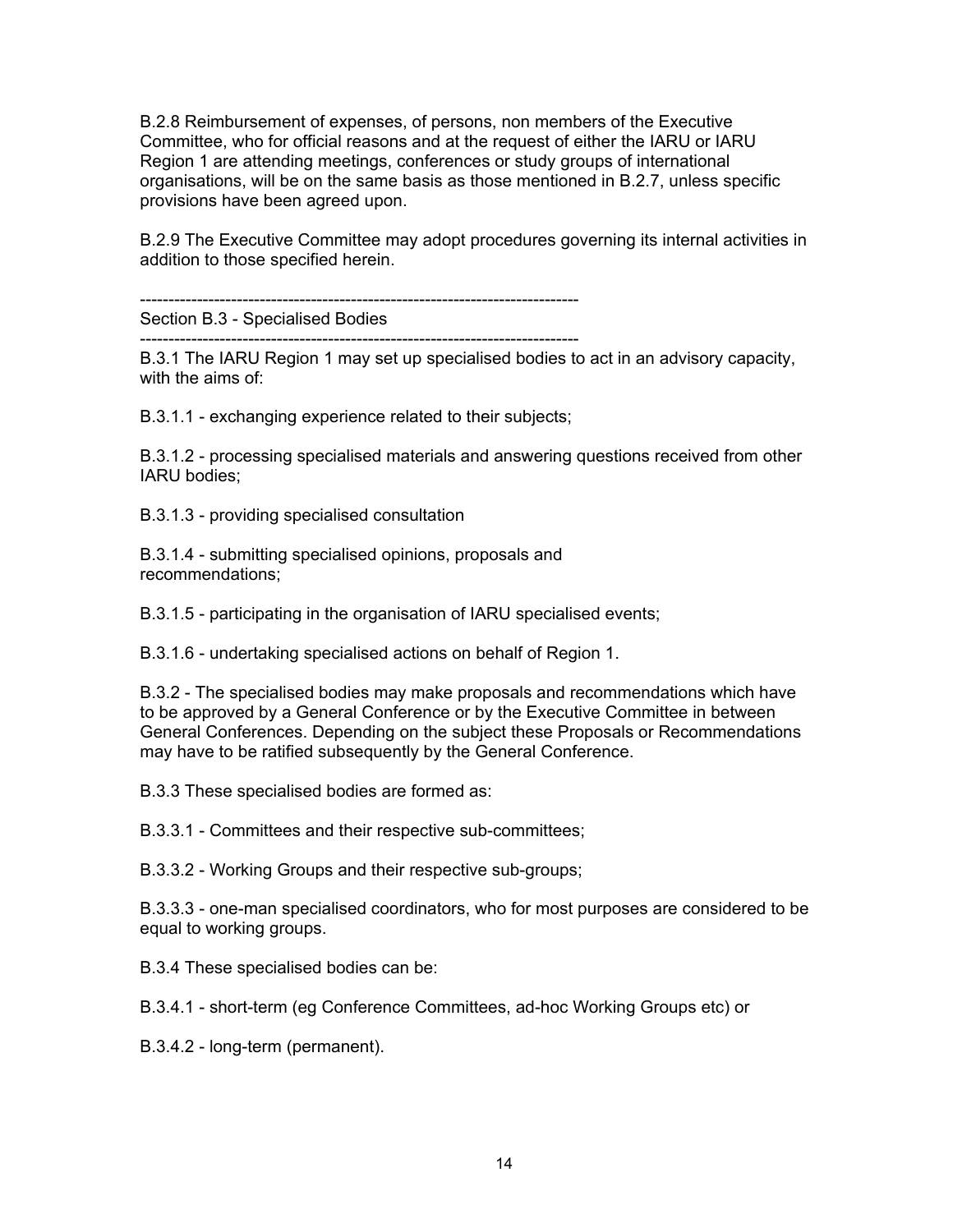B.2.8 Reimbursement of expenses, of persons, non members of the Executive Committee, who for official reasons and at the request of either the IARU or IARU Region 1 are attending meetings, conferences or study groups of international organisations, will be on the same basis as those mentioned in B.2.7, unless specific provisions have been agreed upon.

B.2.9 The Executive Committee may adopt procedures governing its internal activities in addition to those specified herein.

-----------------------------------------------------------------------------

Section B.3 - Specialised Bodies

-----------------------------------------------------------------------------

B.3.1 The IARU Region 1 may set up specialised bodies to act in an advisory capacity, with the aims of:

B.3.1.1 - exchanging experience related to their subjects;

B.3.1.2 - processing specialised materials and answering questions received from other IARU bodies;

B.3.1.3 - providing specialised consultation

B.3.1.4 - submitting specialised opinions, proposals and recommendations;

B.3.1.5 - participating in the organisation of IARU specialised events;

B.3.1.6 - undertaking specialised actions on behalf of Region 1.

B.3.2 - The specialised bodies may make proposals and recommendations which have to be approved by a General Conference or by the Executive Committee in between General Conferences. Depending on the subject these Proposals or Recommendations may have to be ratified subsequently by the General Conference.

B.3.3 These specialised bodies are formed as:

B.3.3.1 - Committees and their respective sub-committees;

B.3.3.2 - Working Groups and their respective sub-groups;

B.3.3.3 - one-man specialised coordinators, who for most purposes are considered to be equal to working groups.

B.3.4 These specialised bodies can be:

B.3.4.1 - short-term (eg Conference Committees, ad-hoc Working Groups etc) or

B.3.4.2 - long-term (permanent).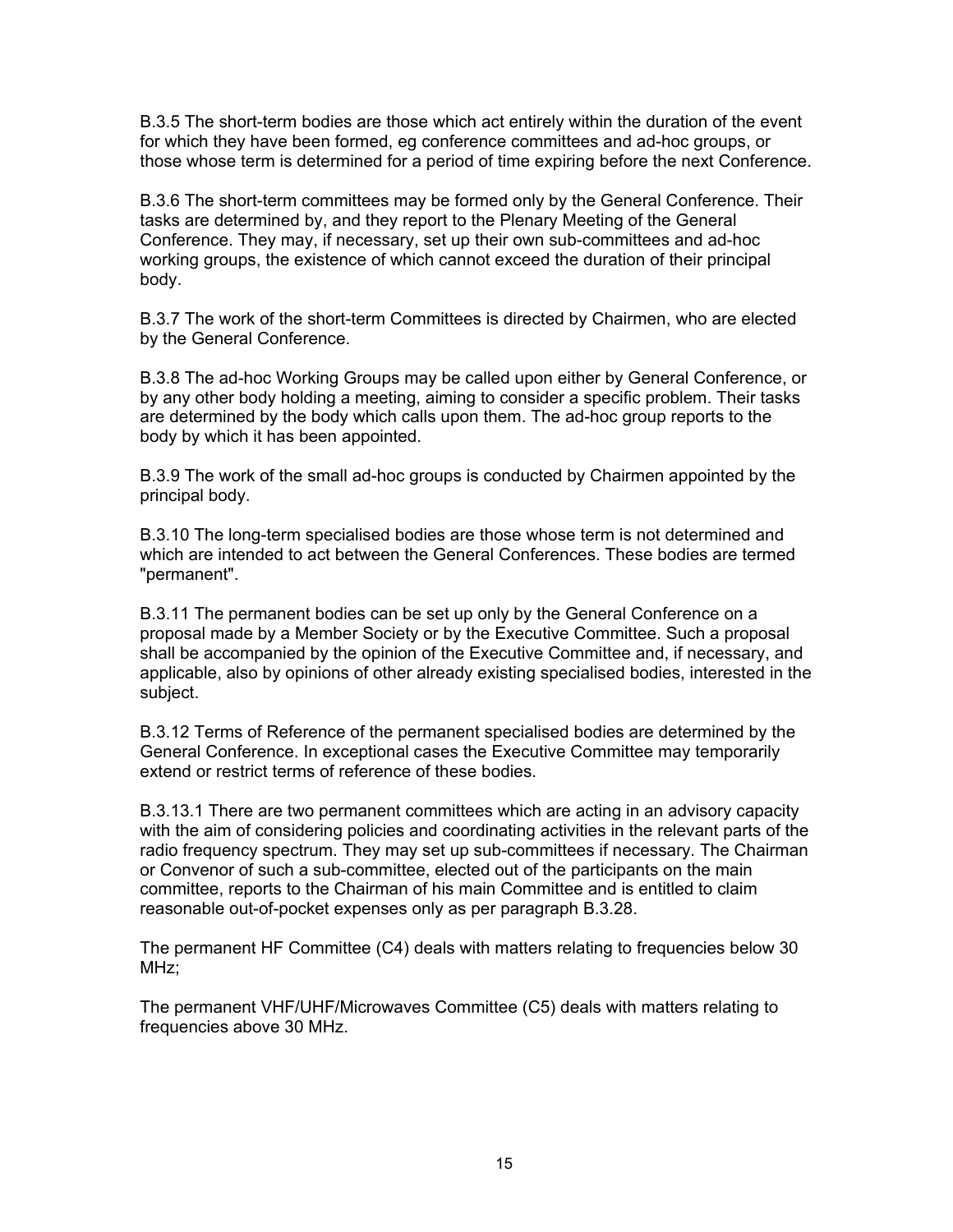B.3.5 The short-term bodies are those which act entirely within the duration of the event for which they have been formed, eg conference committees and ad-hoc groups, or those whose term is determined for a period of time expiring before the next Conference.

B.3.6 The short-term committees may be formed only by the General Conference. Their tasks are determined by, and they report to the Plenary Meeting of the General Conference. They may, if necessary, set up their own sub-committees and ad-hoc working groups, the existence of which cannot exceed the duration of their principal body.

B.3.7 The work of the short-term Committees is directed by Chairmen, who are elected by the General Conference.

B.3.8 The ad-hoc Working Groups may be called upon either by General Conference, or by any other body holding a meeting, aiming to consider a specific problem. Their tasks are determined by the body which calls upon them. The ad-hoc group reports to the body by which it has been appointed.

B.3.9 The work of the small ad-hoc groups is conducted by Chairmen appointed by the principal body.

B.3.10 The long-term specialised bodies are those whose term is not determined and which are intended to act between the General Conferences. These bodies are termed "permanent".

B.3.11 The permanent bodies can be set up only by the General Conference on a proposal made by a Member Society or by the Executive Committee. Such a proposal shall be accompanied by the opinion of the Executive Committee and, if necessary, and applicable, also by opinions of other already existing specialised bodies, interested in the subject.

B.3.12 Terms of Reference of the permanent specialised bodies are determined by the General Conference. In exceptional cases the Executive Committee may temporarily extend or restrict terms of reference of these bodies.

B.3.13.1 There are two permanent committees which are acting in an advisory capacity with the aim of considering policies and coordinating activities in the relevant parts of the radio frequency spectrum. They may set up sub-committees if necessary. The Chairman or Convenor of such a sub-committee, elected out of the participants on the main committee, reports to the Chairman of his main Committee and is entitled to claim reasonable out-of-pocket expenses only as per paragraph B.3.28.

The permanent HF Committee (C4) deals with matters relating to frequencies below 30 MHz;

The permanent VHF/UHF/Microwaves Committee (C5) deals with matters relating to frequencies above 30 MHz.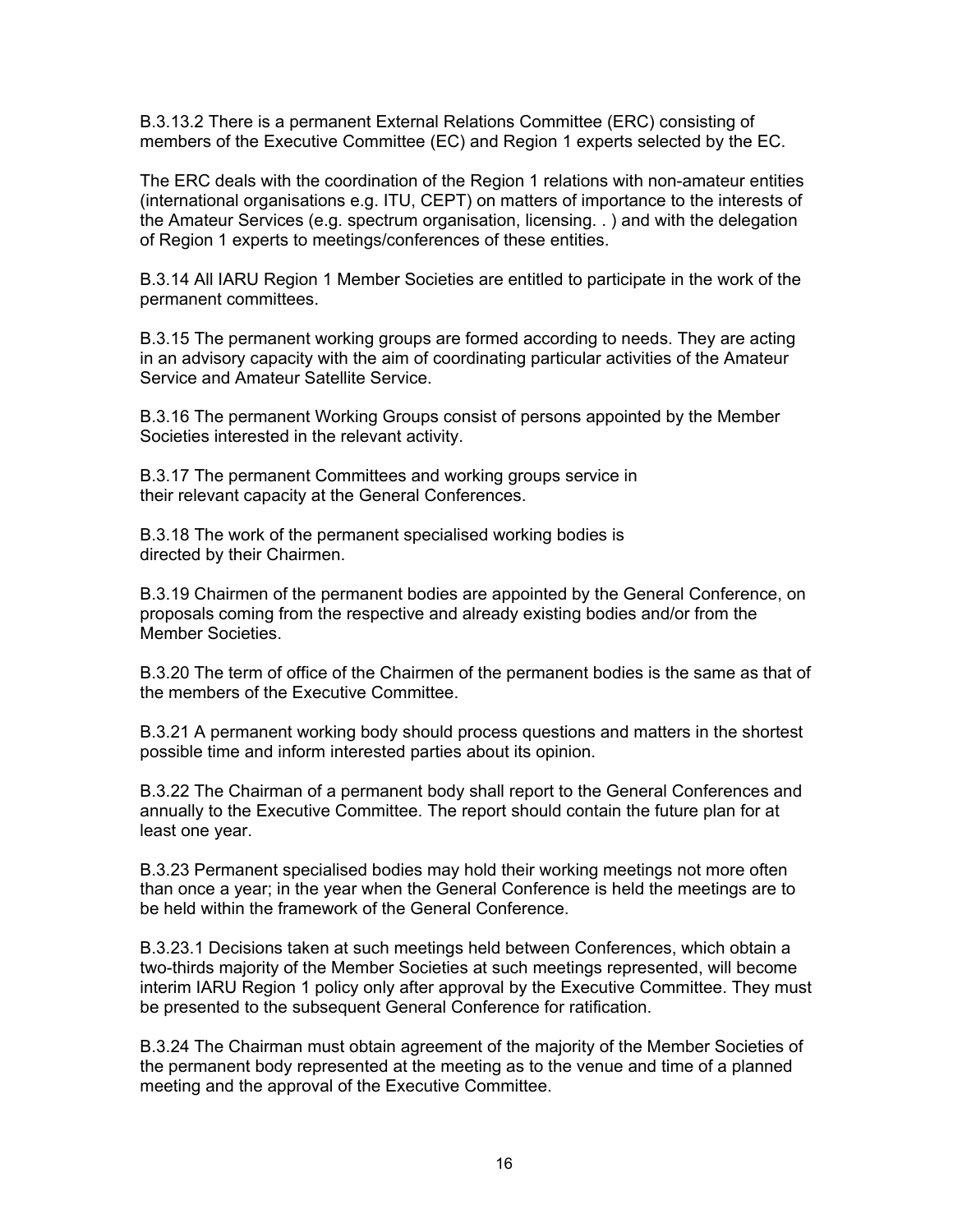B.3.13.2 There is a permanent External Relations Committee (ERC) consisting of members of the Executive Committee (EC) and Region 1 experts selected by the EC.

The ERC deals with the coordination of the Region 1 relations with non-amateur entities (international organisations e.g. ITU, CEPT) on matters of importance to the interests of the Amateur Services (e.g. spectrum organisation, licensing. . ) and with the delegation of Region 1 experts to meetings/conferences of these entities.

B.3.14 All IARU Region 1 Member Societies are entitled to participate in the work of the permanent committees.

B.3.15 The permanent working groups are formed according to needs. They are acting in an advisory capacity with the aim of coordinating particular activities of the Amateur Service and Amateur Satellite Service.

B.3.16 The permanent Working Groups consist of persons appointed by the Member Societies interested in the relevant activity.

B.3.17 The permanent Committees and working groups service in their relevant capacity at the General Conferences.

B.3.18 The work of the permanent specialised working bodies is directed by their Chairmen.

B.3.19 Chairmen of the permanent bodies are appointed by the General Conference, on proposals coming from the respective and already existing bodies and/or from the Member Societies.

B.3.20 The term of office of the Chairmen of the permanent bodies is the same as that of the members of the Executive Committee.

B.3.21 A permanent working body should process questions and matters in the shortest possible time and inform interested parties about its opinion.

B.3.22 The Chairman of a permanent body shall report to the General Conferences and annually to the Executive Committee. The report should contain the future plan for at least one year.

B.3.23 Permanent specialised bodies may hold their working meetings not more often than once a year; in the year when the General Conference is held the meetings are to be held within the framework of the General Conference.

B.3.23.1 Decisions taken at such meetings held between Conferences, which obtain a two-thirds majority of the Member Societies at such meetings represented, will become interim IARU Region 1 policy only after approval by the Executive Committee. They must be presented to the subsequent General Conference for ratification.

B.3.24 The Chairman must obtain agreement of the majority of the Member Societies of the permanent body represented at the meeting as to the venue and time of a planned meeting and the approval of the Executive Committee.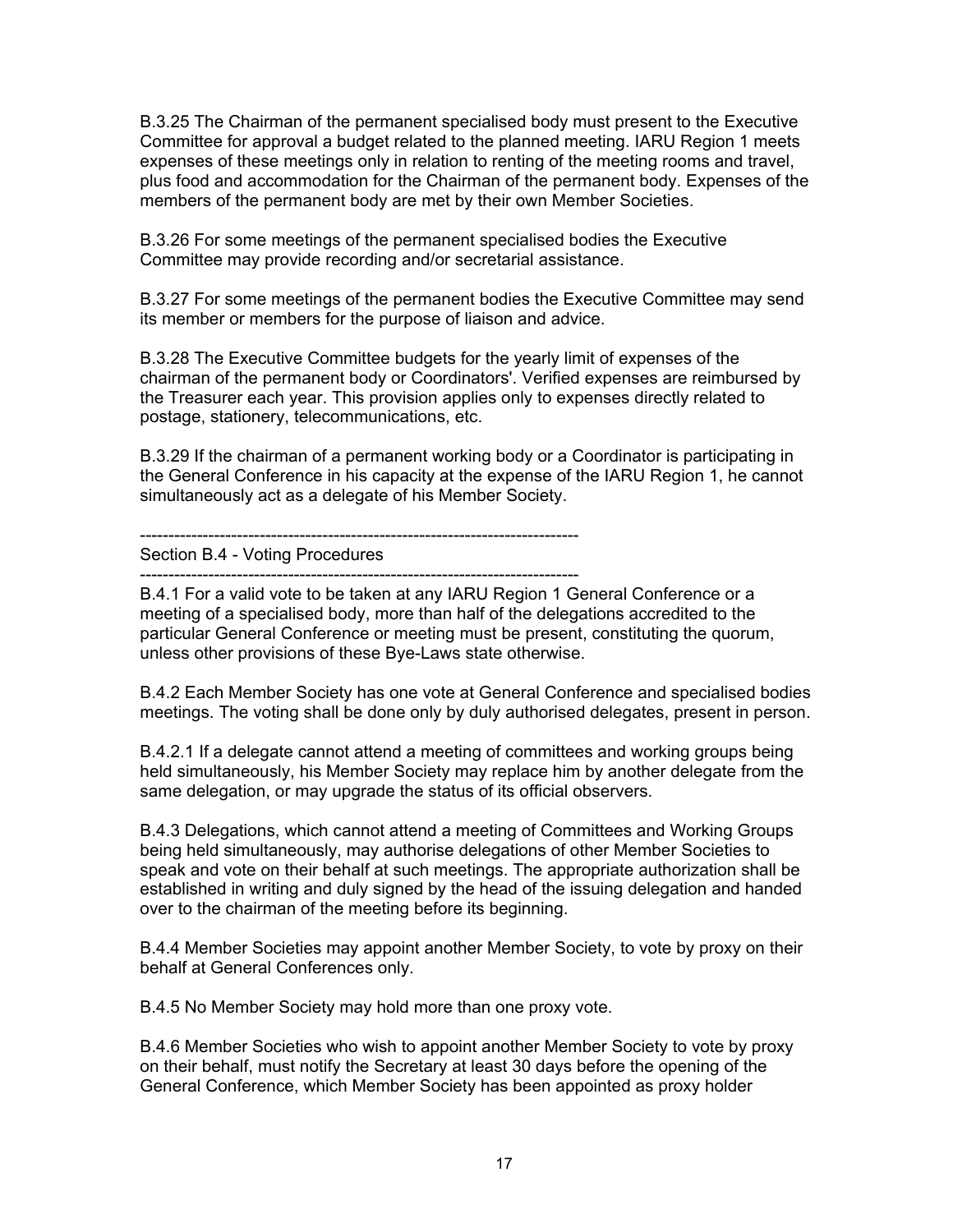B.3.25 The Chairman of the permanent specialised body must present to the Executive Committee for approval a budget related to the planned meeting. IARU Region 1 meets expenses of these meetings only in relation to renting of the meeting rooms and travel, plus food and accommodation for the Chairman of the permanent body. Expenses of the members of the permanent body are met by their own Member Societies.

B.3.26 For some meetings of the permanent specialised bodies the Executive Committee may provide recording and/or secretarial assistance.

B.3.27 For some meetings of the permanent bodies the Executive Committee may send its member or members for the purpose of liaison and advice.

B.3.28 The Executive Committee budgets for the yearly limit of expenses of the chairman of the permanent body or Coordinators'. Verified expenses are reimbursed by the Treasurer each year. This provision applies only to expenses directly related to postage, stationery, telecommunications, etc.

B.3.29 If the chairman of a permanent working body or a Coordinator is participating in the General Conference in his capacity at the expense of the IARU Region 1, he cannot simultaneously act as a delegate of his Member Society.

-----------------------------------------------------------------------------

Section B.4 - Voting Procedures -----------------------------------------------------------------------------

B.4.1 For a valid vote to be taken at any IARU Region 1 General Conference or a meeting of a specialised body, more than half of the delegations accredited to the particular General Conference or meeting must be present, constituting the quorum, unless other provisions of these Bye-Laws state otherwise.

B.4.2 Each Member Society has one vote at General Conference and specialised bodies meetings. The voting shall be done only by duly authorised delegates, present in person.

B.4.2.1 If a delegate cannot attend a meeting of committees and working groups being held simultaneously, his Member Society may replace him by another delegate from the same delegation, or may upgrade the status of its official observers.

B.4.3 Delegations, which cannot attend a meeting of Committees and Working Groups being held simultaneously, may authorise delegations of other Member Societies to speak and vote on their behalf at such meetings. The appropriate authorization shall be established in writing and duly signed by the head of the issuing delegation and handed over to the chairman of the meeting before its beginning.

B.4.4 Member Societies may appoint another Member Society, to vote by proxy on their behalf at General Conferences only.

B.4.5 No Member Society may hold more than one proxy vote.

B.4.6 Member Societies who wish to appoint another Member Society to vote by proxy on their behalf, must notify the Secretary at least 30 days before the opening of the General Conference, which Member Society has been appointed as proxy holder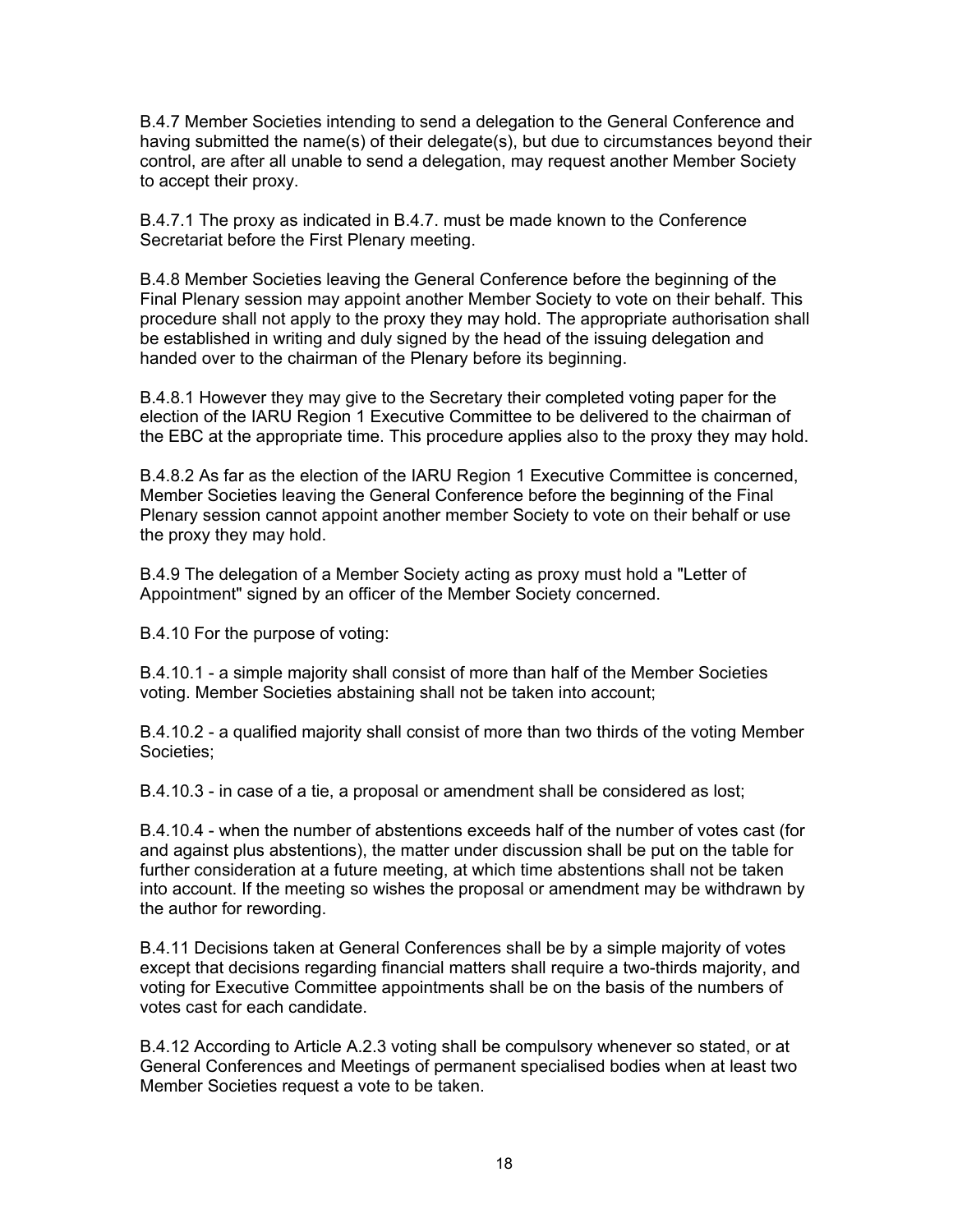B.4.7 Member Societies intending to send a delegation to the General Conference and having submitted the name(s) of their delegate(s), but due to circumstances beyond their control, are after all unable to send a delegation, may request another Member Society to accept their proxy.

B.4.7.1 The proxy as indicated in B.4.7. must be made known to the Conference Secretariat before the First Plenary meeting.

B.4.8 Member Societies leaving the General Conference before the beginning of the Final Plenary session may appoint another Member Society to vote on their behalf. This procedure shall not apply to the proxy they may hold. The appropriate authorisation shall be established in writing and duly signed by the head of the issuing delegation and handed over to the chairman of the Plenary before its beginning.

B.4.8.1 However they may give to the Secretary their completed voting paper for the election of the IARU Region 1 Executive Committee to be delivered to the chairman of the EBC at the appropriate time. This procedure applies also to the proxy they may hold.

B.4.8.2 As far as the election of the IARU Region 1 Executive Committee is concerned, Member Societies leaving the General Conference before the beginning of the Final Plenary session cannot appoint another member Society to vote on their behalf or use the proxy they may hold.

B.4.9 The delegation of a Member Society acting as proxy must hold a "Letter of Appointment" signed by an officer of the Member Society concerned.

B.4.10 For the purpose of voting:

B.4.10.1 - a simple majority shall consist of more than half of the Member Societies voting. Member Societies abstaining shall not be taken into account;

B.4.10.2 - a qualified majority shall consist of more than two thirds of the voting Member Societies;

B.4.10.3 - in case of a tie, a proposal or amendment shall be considered as lost;

B.4.10.4 - when the number of abstentions exceeds half of the number of votes cast (for and against plus abstentions), the matter under discussion shall be put on the table for further consideration at a future meeting, at which time abstentions shall not be taken into account. If the meeting so wishes the proposal or amendment may be withdrawn by the author for rewording.

B.4.11 Decisions taken at General Conferences shall be by a simple majority of votes except that decisions regarding financial matters shall require a two-thirds majority, and voting for Executive Committee appointments shall be on the basis of the numbers of votes cast for each candidate.

B.4.12 According to Article A.2.3 voting shall be compulsory whenever so stated, or at General Conferences and Meetings of permanent specialised bodies when at least two Member Societies request a vote to be taken.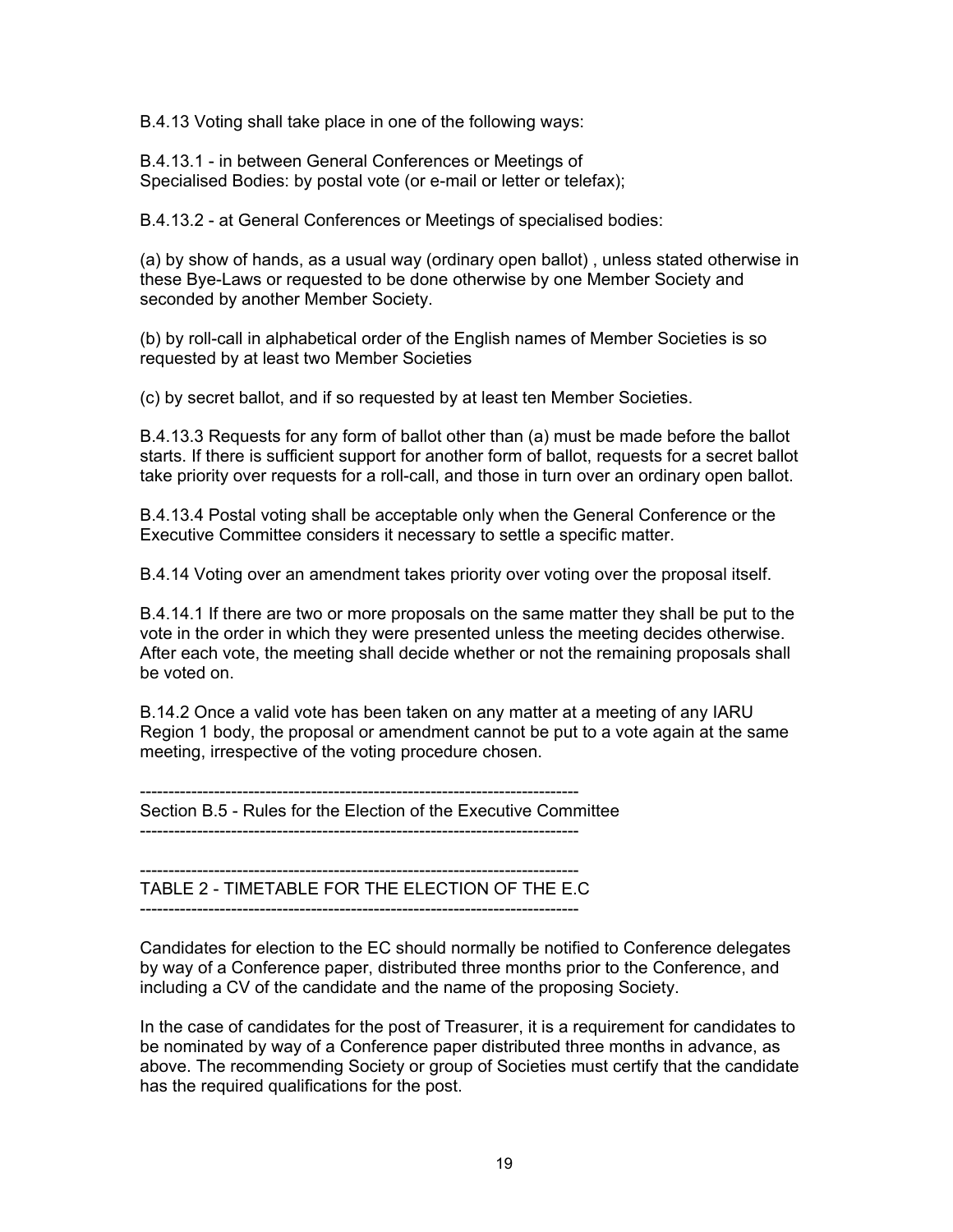B.4.13 Voting shall take place in one of the following ways:

B.4.13.1 - in between General Conferences or Meetings of Specialised Bodies: by postal vote (or e-mail or letter or telefax);

B.4.13.2 - at General Conferences or Meetings of specialised bodies:

(a) by show of hands, as a usual way (ordinary open ballot) , unless stated otherwise in these Bye-Laws or requested to be done otherwise by one Member Society and seconded by another Member Society.

(b) by roll-call in alphabetical order of the English names of Member Societies is so requested by at least two Member Societies

(c) by secret ballot, and if so requested by at least ten Member Societies.

B.4.13.3 Requests for any form of ballot other than (a) must be made before the ballot starts. If there is sufficient support for another form of ballot, requests for a secret ballot take priority over requests for a roll-call, and those in turn over an ordinary open ballot.

B.4.13.4 Postal voting shall be acceptable only when the General Conference or the Executive Committee considers it necessary to settle a specific matter.

B.4.14 Voting over an amendment takes priority over voting over the proposal itself.

B.4.14.1 If there are two or more proposals on the same matter they shall be put to the vote in the order in which they were presented unless the meeting decides otherwise. After each vote, the meeting shall decide whether or not the remaining proposals shall be voted on.

B.14.2 Once a valid vote has been taken on any matter at a meeting of any IARU Region 1 body, the proposal or amendment cannot be put to a vote again at the same meeting, irrespective of the voting procedure chosen.

-----------------------------------------------------------------------------

Section B.5 - Rules for the Election of the Executive Committee

-----------------------------------------------------------------------------

----------------------------------------------------------------------------- TABLE 2 - TIMETABLE FOR THE ELECTION OF THE E.C -----------------------------------------------------------------------------

Candidates for election to the EC should normally be notified to Conference delegates by way of a Conference paper, distributed three months prior to the Conference, and including a CV of the candidate and the name of the proposing Society.

In the case of candidates for the post of Treasurer, it is a requirement for candidates to be nominated by way of a Conference paper distributed three months in advance, as above. The recommending Society or group of Societies must certify that the candidate has the required qualifications for the post.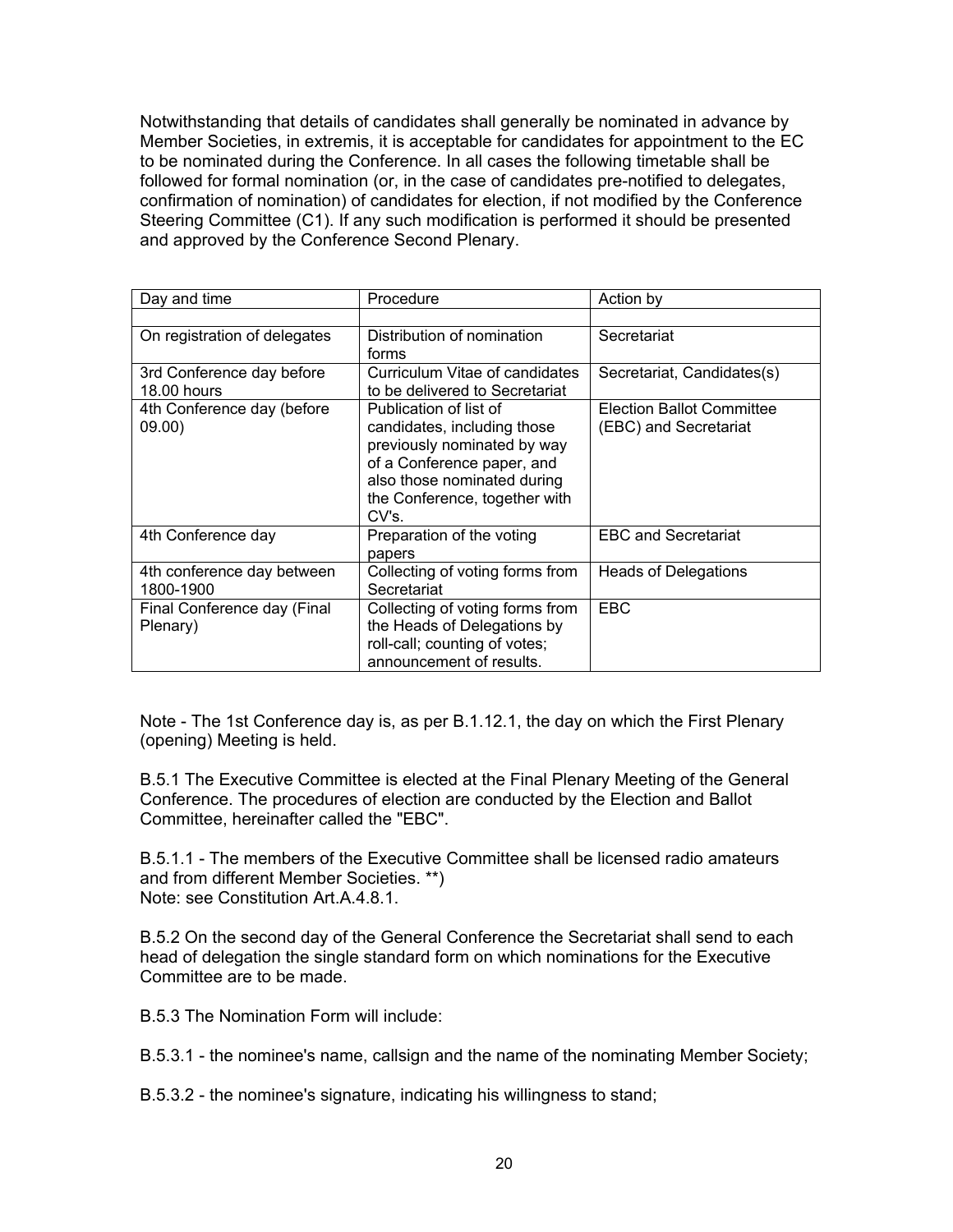Notwithstanding that details of candidates shall generally be nominated in advance by Member Societies, in extremis, it is acceptable for candidates for appointment to the EC to be nominated during the Conference. In all cases the following timetable shall be followed for formal nomination (or, in the case of candidates pre-notified to delegates, confirmation of nomination) of candidates for election, if not modified by the Conference Steering Committee (C1). If any such modification is performed it should be presented and approved by the Conference Second Plenary.

| Day and time                             | Procedure                                                                                                                                                                                   | Action by                                                 |
|------------------------------------------|---------------------------------------------------------------------------------------------------------------------------------------------------------------------------------------------|-----------------------------------------------------------|
|                                          |                                                                                                                                                                                             |                                                           |
| On registration of delegates             | Distribution of nomination<br>forms                                                                                                                                                         | Secretariat                                               |
| 3rd Conference day before<br>18.00 hours | Curriculum Vitae of candidates<br>to be delivered to Secretariat                                                                                                                            | Secretariat, Candidates(s)                                |
| 4th Conference day (before<br>09.00)     | Publication of list of<br>candidates, including those<br>previously nominated by way<br>of a Conference paper, and<br>also those nominated during<br>the Conference, together with<br>CV's. | <b>Election Ballot Committee</b><br>(EBC) and Secretariat |
| 4th Conference day                       | Preparation of the voting<br>papers                                                                                                                                                         | <b>EBC and Secretariat</b>                                |
| 4th conference day between<br>1800-1900  | Collecting of voting forms from<br>Secretariat                                                                                                                                              | <b>Heads of Delegations</b>                               |
| Final Conference day (Final<br>Plenary)  | Collecting of voting forms from<br>the Heads of Delegations by<br>roll-call; counting of votes;<br>announcement of results.                                                                 | <b>EBC</b>                                                |

Note - The 1st Conference day is, as per B.1.12.1, the day on which the First Plenary (opening) Meeting is held.

B.5.1 The Executive Committee is elected at the Final Plenary Meeting of the General Conference. The procedures of election are conducted by the Election and Ballot Committee, hereinafter called the "EBC".

B.5.1.1 - The members of the Executive Committee shall be licensed radio amateurs and from different Member Societies. \*\*) Note: see Constitution Art.A.4.8.1.

B.5.2 On the second day of the General Conference the Secretariat shall send to each head of delegation the single standard form on which nominations for the Executive Committee are to be made.

B.5.3 The Nomination Form will include:

B.5.3.1 - the nominee's name, callsign and the name of the nominating Member Society;

B.5.3.2 - the nominee's signature, indicating his willingness to stand;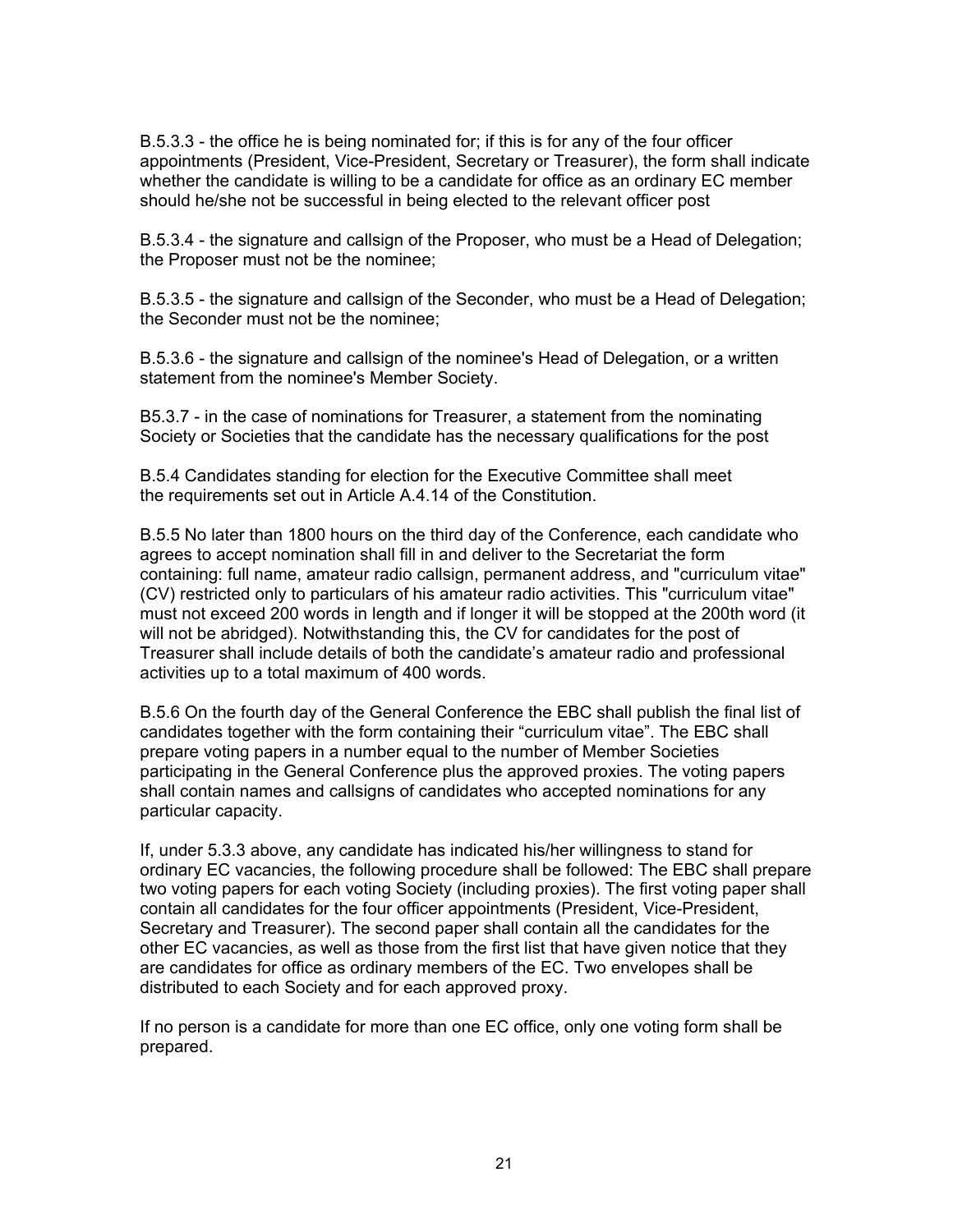B.5.3.3 - the office he is being nominated for; if this is for any of the four officer appointments (President, Vice-President, Secretary or Treasurer), the form shall indicate whether the candidate is willing to be a candidate for office as an ordinary EC member should he/she not be successful in being elected to the relevant officer post

B.5.3.4 - the signature and callsign of the Proposer, who must be a Head of Delegation; the Proposer must not be the nominee;

B.5.3.5 - the signature and callsign of the Seconder, who must be a Head of Delegation; the Seconder must not be the nominee;

B.5.3.6 - the signature and callsign of the nominee's Head of Delegation, or a written statement from the nominee's Member Society.

B5.3.7 - in the case of nominations for Treasurer, a statement from the nominating Society or Societies that the candidate has the necessary qualifications for the post

B.5.4 Candidates standing for election for the Executive Committee shall meet the requirements set out in Article A.4.14 of the Constitution.

B.5.5 No later than 1800 hours on the third day of the Conference, each candidate who agrees to accept nomination shall fill in and deliver to the Secretariat the form containing: full name, amateur radio callsign, permanent address, and "curriculum vitae" (CV) restricted only to particulars of his amateur radio activities. This "curriculum vitae" must not exceed 200 words in length and if longer it will be stopped at the 200th word (it will not be abridged). Notwithstanding this, the CV for candidates for the post of Treasurer shall include details of both the candidate's amateur radio and professional activities up to a total maximum of 400 words.

B.5.6 On the fourth day of the General Conference the EBC shall publish the final list of candidates together with the form containing their "curriculum vitae". The EBC shall prepare voting papers in a number equal to the number of Member Societies participating in the General Conference plus the approved proxies. The voting papers shall contain names and callsigns of candidates who accepted nominations for any particular capacity.

If, under 5.3.3 above, any candidate has indicated his/her willingness to stand for ordinary EC vacancies, the following procedure shall be followed: The EBC shall prepare two voting papers for each voting Society (including proxies). The first voting paper shall contain all candidates for the four officer appointments (President, Vice-President, Secretary and Treasurer). The second paper shall contain all the candidates for the other EC vacancies, as well as those from the first list that have given notice that they are candidates for office as ordinary members of the EC. Two envelopes shall be distributed to each Society and for each approved proxy.

If no person is a candidate for more than one EC office, only one voting form shall be prepared.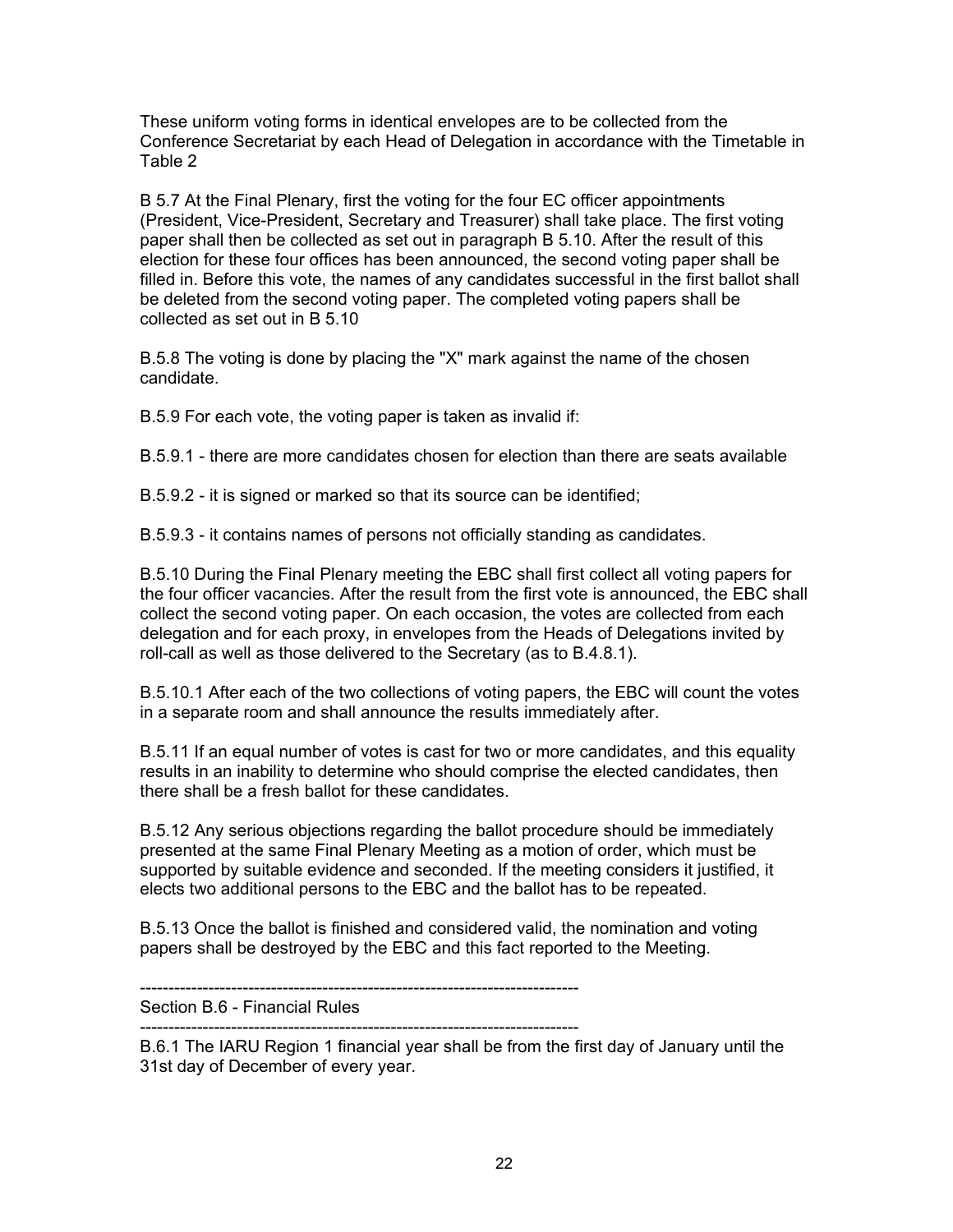These uniform voting forms in identical envelopes are to be collected from the Conference Secretariat by each Head of Delegation in accordance with the Timetable in Table 2

B 5.7 At the Final Plenary, first the voting for the four EC officer appointments (President, Vice-President, Secretary and Treasurer) shall take place. The first voting paper shall then be collected as set out in paragraph B 5.10. After the result of this election for these four offices has been announced, the second voting paper shall be filled in. Before this vote, the names of any candidates successful in the first ballot shall be deleted from the second voting paper. The completed voting papers shall be collected as set out in B 5.10

B.5.8 The voting is done by placing the "X" mark against the name of the chosen candidate.

B.5.9 For each vote, the voting paper is taken as invalid if:

B.5.9.1 - there are more candidates chosen for election than there are seats available

B.5.9.2 - it is signed or marked so that its source can be identified;

B.5.9.3 - it contains names of persons not officially standing as candidates.

B.5.10 During the Final Plenary meeting the EBC shall first collect all voting papers for the four officer vacancies. After the result from the first vote is announced, the EBC shall collect the second voting paper. On each occasion, the votes are collected from each delegation and for each proxy, in envelopes from the Heads of Delegations invited by roll-call as well as those delivered to the Secretary (as to B.4.8.1).

B.5.10.1 After each of the two collections of voting papers, the EBC will count the votes in a separate room and shall announce the results immediately after.

B.5.11 If an equal number of votes is cast for two or more candidates, and this equality results in an inability to determine who should comprise the elected candidates, then there shall be a fresh ballot for these candidates.

B.5.12 Any serious objections regarding the ballot procedure should be immediately presented at the same Final Plenary Meeting as a motion of order, which must be supported by suitable evidence and seconded. If the meeting considers it justified, it elects two additional persons to the EBC and the ballot has to be repeated.

B.5.13 Once the ballot is finished and considered valid, the nomination and voting papers shall be destroyed by the EBC and this fact reported to the Meeting.

-----------------------------------------------------------------------------

Section B.6 - Financial Rules

-----------------------------------------------------------------------------

B.6.1 The IARU Region 1 financial year shall be from the first day of January until the 31st day of December of every year.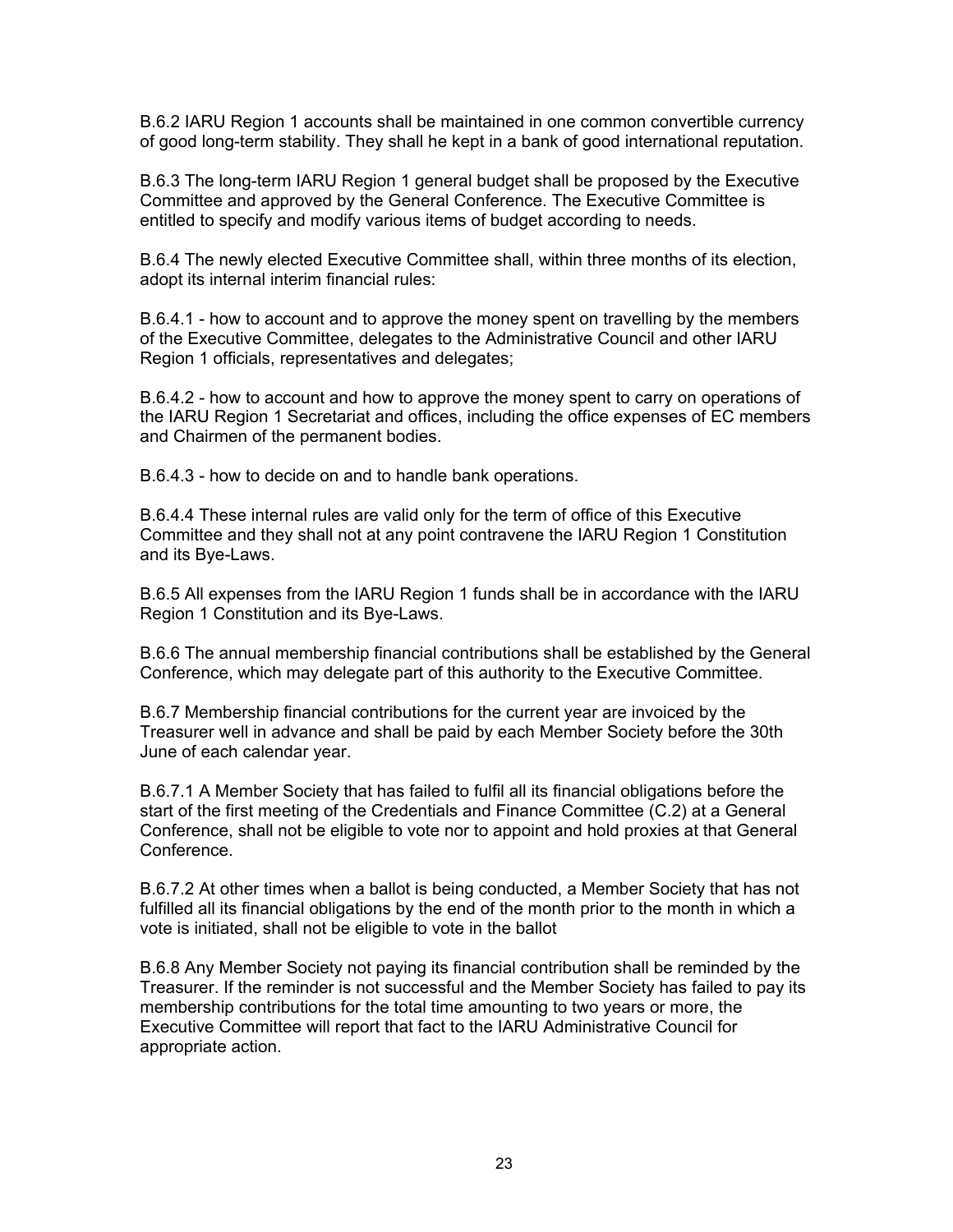B.6.2 IARU Region 1 accounts shall be maintained in one common convertible currency of good long-term stability. They shall he kept in a bank of good international reputation.

B.6.3 The long-term IARU Region 1 general budget shall be proposed by the Executive Committee and approved by the General Conference. The Executive Committee is entitled to specify and modify various items of budget according to needs.

B.6.4 The newly elected Executive Committee shall, within three months of its election, adopt its internal interim financial rules:

B.6.4.1 - how to account and to approve the money spent on travelling by the members of the Executive Committee, delegates to the Administrative Council and other IARU Region 1 officials, representatives and delegates;

B.6.4.2 - how to account and how to approve the money spent to carry on operations of the IARU Region 1 Secretariat and offices, including the office expenses of EC members and Chairmen of the permanent bodies.

B.6.4.3 - how to decide on and to handle bank operations.

B.6.4.4 These internal rules are valid only for the term of office of this Executive Committee and they shall not at any point contravene the IARU Region 1 Constitution and its Bye-Laws.

B.6.5 All expenses from the IARU Region 1 funds shall be in accordance with the IARU Region 1 Constitution and its Bye-Laws.

B.6.6 The annual membership financial contributions shall be established by the General Conference, which may delegate part of this authority to the Executive Committee.

B.6.7 Membership financial contributions for the current year are invoiced by the Treasurer well in advance and shall be paid by each Member Society before the 30th June of each calendar year.

B.6.7.1 A Member Society that has failed to fulfil all its financial obligations before the start of the first meeting of the Credentials and Finance Committee (C.2) at a General Conference, shall not be eligible to vote nor to appoint and hold proxies at that General Conference.

B.6.7.2 At other times when a ballot is being conducted, a Member Society that has not fulfilled all its financial obligations by the end of the month prior to the month in which a vote is initiated, shall not be eligible to vote in the ballot

B.6.8 Any Member Society not paying its financial contribution shall be reminded by the Treasurer. If the reminder is not successful and the Member Society has failed to pay its membership contributions for the total time amounting to two years or more, the Executive Committee will report that fact to the IARU Administrative Council for appropriate action.